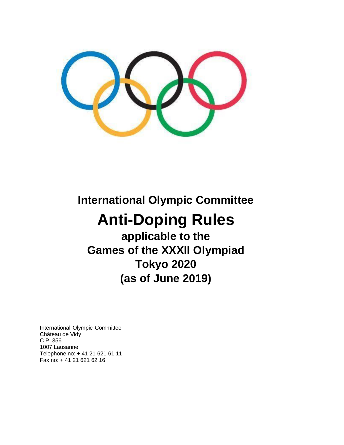# **International Olympic Committee**

# **Anti-Doping Rules**

**applicable to the Games of the XXXII Olympiad Tokyo 2020 (as of June 2019)**

International Olympic Committee Château de Vidy C.P. 356 1007 Lausanne Telephone no: + 41 21 621 61 11 Fax no: + 41 21 621 62 16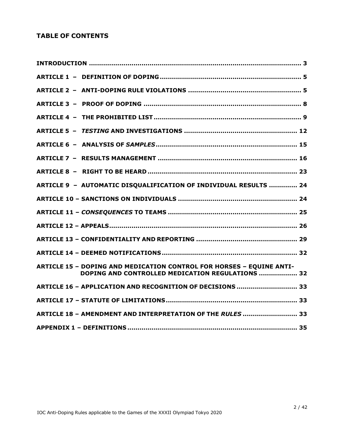# **TABLE OF CONTENTS**

| ARTICLE 9 - AUTOMATIC DISQUALIFICATION OF INDIVIDUAL RESULTS  24                                                         |  |
|--------------------------------------------------------------------------------------------------------------------------|--|
|                                                                                                                          |  |
|                                                                                                                          |  |
|                                                                                                                          |  |
|                                                                                                                          |  |
|                                                                                                                          |  |
| ARTICLE 15 - DOPING AND MEDICATION CONTROL FOR HORSES - EQUINE ANTI-<br>DOPING AND CONTROLLED MEDICATION REGULATIONS  32 |  |
| ARTICLE 16 - APPLICATION AND RECOGNITION OF DECISIONS  33                                                                |  |
|                                                                                                                          |  |
| ARTICLE 18 - AMENDMENT AND INTERPRETATION OF THE RULES  33                                                               |  |
|                                                                                                                          |  |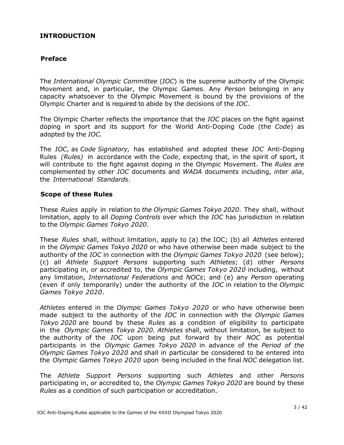# <span id="page-2-0"></span>**INTRODUCTION**

# **Preface**

The *International Olympic Committee* (*IOC*) is the supreme authority of the Olympic Movement and, in particular, the Olympic Games. Any *Person* belonging in any capacity whatsoever to the Olympic Movement is bound by the provisions of the Olympic Charter and is required to abide by the decisions of the *IOC*.

The Olympic Charter reflects the importance that the *IOC* places on the fight against doping in sport and its support for the World Anti-Doping Code (the *Code*) as adopted by the *IOC.*

The *IOC*, as *Code Signatory,* has established and adopted these *IOC* Anti-Doping Rules *(Rules)* in accordance with the *Code*, expecting that, in the spirit of sport, it will contribute to the fight against doping in the Olympic Movement. The *Rules are* complemented by other *IOC* documents and *WADA* documents including, *inter alia*, the *International Standards*.

#### **Scope of these Rules**

These *Rules* apply in relation to *the Olympic Games Tokyo 2020*. They shall, without limitation, apply to all *Doping Controls* over which the *IOC* has jurisdiction in relation to the *Olympic Games Tokyo 2020*.

These *Rules* shall, without limitation, apply to (a) the IOC; (b) all *Athletes* entered in the *Olympic Games Tokyo 2020* or who have otherwise been made subject to the authority of the *IOC* in connection with the *Olympic Games Tokyo 2020* (see below); (c) all *Athlete Support Persons* supporting such *Athletes*; (d) other *Persons* participating in, or accredited to, the *Olympic Games Tokyo 2020* including, without any limitation, *International Federations* and *NOCs*; and (e) any *Person* operating (even if only temporarily) under the authority of the *IOC* in relation to the *Olympic Games Tokyo 2020*.

*Athletes* entered in the *Olympic Games Tokyo 2020* or who have otherwise been made subject to the authority of the *IOC* in connection with the *Olympic Games Tokyo 2020* are bound by these *Rules* as a condition of eligibility to participate in the *Olympic Games Tokyo 2020. Athletes* shall, without limitation, be subject to the authority of the *IOC* upon being put forward by their *NOC* as potential participants in the *Olympic Games Tokyo 2020* in advance of the *Period of the Olympic Games Tokyo 2020* and shall in particular be considered to be entered into the *Olympic Games Tokyo 2020* upon being included in the final *NOC* delegation list.

The *Athlete Support Persons* supporting such *Athletes* and other *Persons* participating in, or accredited to, the *Olympic Games Tokyo 2020* are bound by these *Rules* as a condition of such participation or accreditation.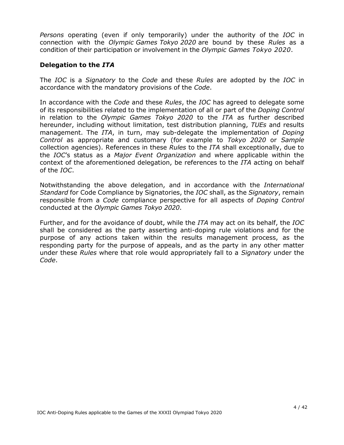*Persons* operating (even if only temporarily) under the authority of the *IOC* in connection with the *Olympic Games Tokyo 2020* are bound by these *Rules* as a condition of their participation or involvement in the *Olympic Games Tokyo 2020*.

#### **Delegation to the** *ITA*

The *IOC* is a *Signatory* to the *Code* and these *Rules* are adopted by the *IOC* in accordance with the mandatory provisions of the *Code*.

In accordance with the *Code* and these *Rules*, the *IOC* has agreed to delegate some of its responsibilities related to the implementation of all or part of the *Doping Control*  in relation to the *Olympic Games Tokyo 2020* to the *ITA* as further described hereunder, including without limitation, test distribution planning, *TUEs* and results management. The *ITA*, in turn, may sub-delegate the implementation of *Doping Control* as appropriate and customary (for example to *Tokyo 2020* or *Sample* collection agencies). References in these *Rules* to the *ITA* shall exceptionally, due to the *IOC*'s status as a *Major Event Organization* and where applicable within the context of the aforementioned delegation, be references to the *ITA* acting on behalf of the *IOC*.

Notwithstanding the above delegation, and in accordance with the *International Standard* for Code Compliance by Signatories, the *IOC* shall, as the *Signatory*, remain responsible from a *Code* compliance perspective for all aspects of *Doping Control* conducted at the *Olympic Games Tokyo 2020*.

Further, and for the avoidance of doubt, while the *ITA* may act on its behalf, the *IOC* shall be considered as the party asserting anti-doping rule violations and for the purpose of any actions taken within the results management process, as the responding party for the purpose of appeals, and as the party in any other matter under these *Rules* where that role would appropriately fall to a *Signatory* under the *Code*.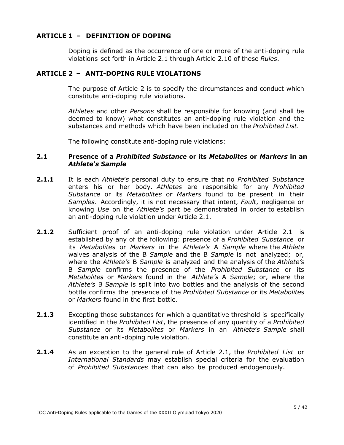# <span id="page-4-0"></span>**ARTICLE 1 – DEFINITION OF DOPING**

Doping is defined as the occurrence of one or more of the anti-doping rule violations set forth in Article 2.1 through Article 2.10 of these *Rules*.

## <span id="page-4-1"></span>**ARTICLE 2 – ANTI-DOPING RULE VIOLATIONS**

The purpose of Article 2 is to specify the circumstances and conduct which constitute anti-doping rule violations.

*Athletes* and other *Persons* shall be responsible for knowing (and shall be deemed to know) what constitutes an anti-doping rule violation and the substances and methods which have been included on the *Prohibited List*.

The following constitute anti-doping rule violations:

#### **2.1 Presence of a** *Prohibited Substance* **or its** *Metabolites* **or** *Markers* **in an** *Athlete***'***s Sample*

- **2.1.1** It is each *Athlete*'*s* personal duty to ensure that no *Prohibited Substance* enters his or her body. *Athletes* are responsible for any *Prohibited Substance* or its *Metabolites* or *Markers* found to be present in their *Samples*. Accordingly, it is not necessary that intent, *Fault*, negligence or knowing *Use* on the *Athlete's* part be demonstrated in order to establish an anti-doping rule violation under Article 2.1.
- **2.1.2** Sufficient proof of an anti-doping rule violation under Article 2.1 is established by any of the following: presence of a *Prohibited Substance* or its *Metabolites* or *Markers* in the *Athlete's* A *Sample* where the *Athlete*  waives analysis of the B *Sample* and the B *Sample* is not analyzed; or, where the *Athlete's* B *Sample* is analyzed and the analysis of the *Athlete's* B *Sample* confirms the presence of the *Prohibited Substance* or its *Metabolites* or *Markers* found in the *Athlete's* A *Sample*; or, where the *Athlete's* B *Sample* is split into two bottles and the analysis of the second bottle confirms the presence of the *Prohibited Substance* or its *Metabolites* or *Markers* found in the first bottle.
- **2.1.3** Excepting those substances for which a quantitative threshold is specifically identified in the *Prohibited List*, the presence of any quantity of a *Prohibited Substance* or its *Metabolites* or *Markers* in an *Athlete*'*s Sample* shall constitute an anti-doping rule violation.
- **2.1.4** As an exception to the general rule of Article 2.1, the *Prohibited List* or *International Standards* may establish special criteria for the evaluation of *Prohibited Substances* that can also be produced endogenously.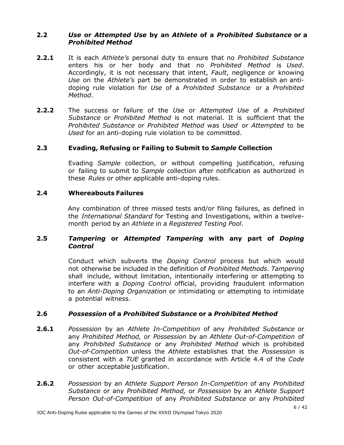## **2.2** *Use* **or** *Attempted Use* **by an** *Athlete* **of a** *Prohibited Substance* **or a** *Prohibited Method*

- **2.2.1** It is each *Athlete's* personal duty to ensure that no *Prohibited Substance* enters his or her body and that no *Prohibited Method* is *Used*. Accordingly, it is not necessary that intent, *Fault*, negligence or knowing *Use* on the *Athlete's* part be demonstrated in order to establish an antidoping rule violation for *Use* of a *Prohibited Substance* or a *Prohibited Method*.
- **2.2.2** The success or failure of the *Use* or *Attempted Use* of a *Prohibited Substance* or *Prohibited Method* is not material. It is sufficient that the *Prohibited Substance* or *Prohibited Method* was *Used* or *Attempted* to be *Used* for an anti-doping rule violation to be committed.

## **2.3 Evading, Refusing or Failing to Submit to** *Sample* **Collection**

Evading *Sample* collection, or without compelling justification, refusing or failing to submit to *Sample* collection after notification as authorized in these *Rules* or other applicable anti-doping rules.

## **2.4 Whereabouts Failures**

Any combination of three missed tests and/or filing failures, as defined in the *International Standard* for Testing and Investigations, within a twelvemonth period by an *Athlete* in a *Registered Testing Pool*.

## **2.5** *Tampering* **or** *Attempted Tampering* **with any part of** *Doping Control*

Conduct which subverts the *Doping Control* process but which would not otherwise be included in the definition of *Prohibited Methods*. *Tampering* shall include, without limitation, intentionally interfering or attempting to interfere with a *Doping Control* official, providing fraudulent information to an *Anti-Doping Organization* or intimidating or attempting to intimidate a potential witness.

# **2.6** *Possession* **of a** *Prohibited Substance* **or a** *Prohibited Method*

- **2.6.1** *Possession* by an *Athlete In-Competition* of any *Prohibited Substance* or any *Prohibited Method,* or *Possession* by an *Athlete Out-of-Competition* of any *Prohibited Substance* or any *Prohibited Method* which is prohibited *Out-of-Competition* unless the *Athlete* establishes that the *Possession* is consistent with a *TUE* granted in accordance with Article 4.4 of the *Code* or other acceptable justification.
- **2.6.2** *Possession* by an *Athlete Support Person In-Competition* of any *Prohibited Substance* or any *Prohibited Method,* or *Possession* by an *Athlete Support Person Out-of-Competition* of any *Prohibited Substance* or any *Prohibited*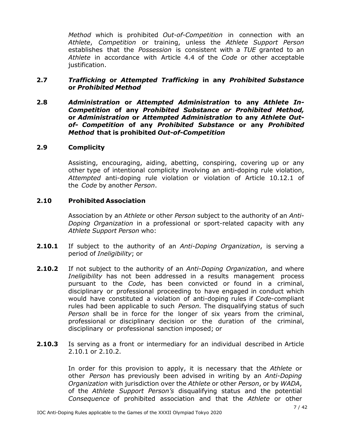*Method* which is prohibited *Out-of-Competition* in connection with an *Athlete*, *Competition* or training, unless the *Athlete Support Person* establishes that the *Possession* is consistent with a *TUE* granted to an *Athlete* in accordance with Article 4.4 of the *Code* or other acceptable justification.

## **2.7** *Trafficking* **or** *Attempted Trafficking* **in any** *Prohibited Substance* **or** *Prohibited Method*

**2.8** *Administration* **or** *Attempted Administration* **to any** *Athlete In-Competition* **of any** *Prohibited Substance or Prohibited Method,* **or** *Administration* **or** *Attempted Administration* **to any** *Athlete Outof- Competition* **of any** *Prohibited Substance* **or any** *Prohibited Method* **that is prohibited** *Out-of-Competition*

#### **2.9 Complicity**

Assisting, encouraging, aiding, abetting, conspiring, covering up or any other type of intentional complicity involving an anti-doping rule violation, *Attempted* anti-doping rule violation or violation of Article 10.12.1 of the *Code* by another *Person*.

## **2.10 Prohibited Association**

Association by an *Athlete* or other *Person* subject to the authority of an *Anti-Doping Organization* in a professional or sport-related capacity with any *Athlete Support Person* who:

- **2.10.1** If subject to the authority of an *Anti-Doping Organization*, is serving a period of *Ineligibility*; or
- **2.10.2** If not subject to the authority of an *Anti-Doping Organization*, and where *Ineligibility* has not been addressed in a results management process pursuant to the *Code*, has been convicted or found in a criminal, disciplinary or professional proceeding to have engaged in conduct which would have constituted a violation of anti-doping rules if *Code*-compliant rules had been applicable to such *Person.* The disqualifying status of such *Person* shall be in force for the longer of six years from the criminal, professional or disciplinary decision or the duration of the criminal, disciplinary or professional sanction imposed; or
- **2.10.3** Is serving as a front or intermediary for an individual described in Article 2.10.1 or 2.10.2.

In order for this provision to apply, it is necessary that the *Athlete* or other *Person* has previously been advised in writing by an *Anti-Doping Organization* with jurisdiction over the *Athlete* or other *Person*, or by *WADA*, of the *Athlete Support Person's* disqualifying status and the potential *Consequence* of prohibited association and that the *Athlete* or other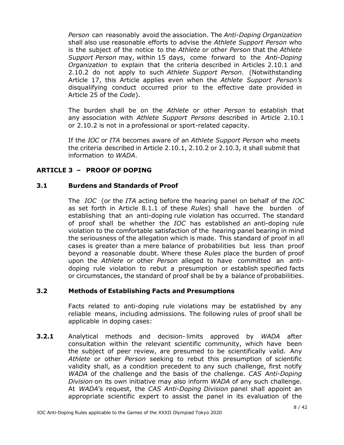*Person* can reasonably avoid the association. The *Anti-Doping Organization* shall also use reasonable efforts to advise the *Athlete Support Person* who is the subject of the notice to the *Athlete* or other *Person* that the *Athlete Support Person* may, within 15 days, come forward to the *Anti-Doping Organization* to explain that the criteria described in Articles 2.10.1 and 2.10.2 do not apply to such *Athlete Support Person*. (Notwithstanding Article 17, this Article applies even when the *Athlete Support Person's* disqualifying conduct occurred prior to the effective date provided in Article 25 of the *Code*).

The burden shall be on the *Athlete* or other *Person* to establish that any association with *Athlete Support Persons* described in Article 2.10.1 or 2.10.2 is not in a professional or sport-related capacity.

If the *IOC* or *ITA* becomes aware of an *Athlete Support Person* who meets the criteria described in Article 2.10.1, 2.10.2 or 2.10.3, it shall submit that information to *WADA*.

# <span id="page-7-0"></span>**ARTICLE 3 – PROOF OF DOPING**

## **3.1 Burdens and Standards of Proof**

The *IOC* (or the *ITA* acting before the hearing panel on behalf of the *IOC* as set forth in Article 8.1.1 of these *Rules*) shall have the burden of establishing that an anti-doping rule violation has occurred. The standard of proof shall be whether the *IOC* has established an anti-doping rule violation to the comfortable satisfaction of the hearing panel bearing in mind the seriousness of the allegation which is made. This standard of proof in all cases is greater than a mere balance of probabilities but less than proof beyond a reasonable doubt. Where these *Rules* place the burden of proof upon the *Athlete* or other *Person* alleged to have committed an antidoping rule violation to rebut a presumption or establish specified facts or circumstances, the standard of proof shall be by a balance of probabilities.

#### **3.2 Methods of Establishing Facts and Presumptions**

Facts related to anti-doping rule violations may be established by any reliable means, including admissions. The following rules of proof shall be applicable in doping cases:

**3.2.1** Analytical methods and decision- limits approved by *WADA* after consultation within the relevant scientific community, which have been the subject of peer review, are presumed to be scientifically valid. Any *Athlete* or other *Person* seeking to rebut this presumption of scientific validity shall, as a condition precedent to any such challenge, first notify *WADA* of the challenge and the basis of the challenge. *CAS Anti-Doping Division* on its own initiative may also inform *WADA* of any such challenge. At *WADA*'s request, the *CAS Anti-Doping Division* panel shall appoint an appropriate scientific expert to assist the panel in its evaluation of the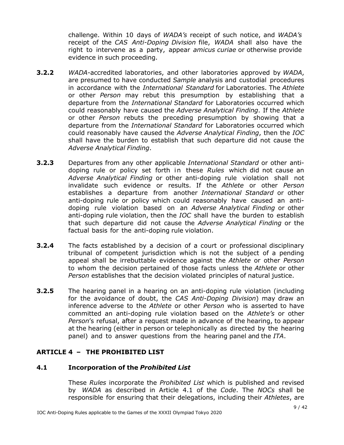challenge. Within 10 days of *WADA's* receipt of such notice, and *WADA's* receipt of the *CAS Anti-Doping Division* file, *WADA* shall also have the right to intervene as a party, appear *amicus curiae* or otherwise provide evidence in such proceeding.

- **3.2.2** *WADA*-accredited laboratories, and other laboratories approved by *WADA*, are presumed to have conducted *Sample* analysis and custodial procedures in accordance with the *International Standard* for Laboratories. The *Athlete* or other *Person* may rebut this presumption by establishing that a departure from the *International Standard* for Laboratories occurred which could reasonably have caused the *Adverse Analytical Finding*. If the *Athlete* or other *Person* rebuts the preceding presumption by showing that a departure from the *International Standard* for Laboratories occurred which could reasonably have caused the *Adverse Analytical Finding*, then the *IOC* shall have the burden to establish that such departure did not cause the *Adverse Analytical Finding*.
- **3.2.3** Departures from any other applicable *International Standard* or other antidoping rule or policy set forth in these *Rules* which did not cause an *Adverse Analytical Finding* or other anti-doping rule violation shall not invalidate such evidence or results. If the *Athlete* or other *Person* establishes a departure from another *International Standard* or other anti-doping rule or policy which could reasonably have caused an antidoping rule violation based on an *Adverse Analytical Finding* or other anti-doping rule violation, then the *IOC* shall have the burden to establish that such departure did not cause the *Adverse Analytical Finding* or the factual basis for the anti-doping rule violation.
- **3.2.4** The facts established by a decision of a court or professional disciplinary tribunal of competent jurisdiction which is not the subject of a pending appeal shall be irrebuttable evidence against the *Athlete* or other *Person* to whom the decision pertained of those facts unless the *Athlete* or other *Person* establishes that the decision violated principles of natural justice.
- **3.2.5** The hearing panel in a hearing on an anti-doping rule violation (including for the avoidance of doubt, the *CAS Anti-Doping Division*) may draw an inference adverse to the *Athlete* or other *Person* who is asserted to have committed an anti-doping rule violation based on the *Athlete's* or other *Person*'s refusal, after a request made in advance of the hearing, to appear at the hearing (either in person or telephonically as directed by the hearing panel) and to answer questions from the hearing panel and the *ITA*.

# <span id="page-8-0"></span>**ARTICLE 4 – THE PROHIBITED LIST**

#### **4.1 Incorporation of the** *Prohibited List*

These *Rules* incorporate the *Prohibited List* which is published and revised by *WADA* as described in Article 4.1 of the *Code*. The *NOCs* shall be responsible for ensuring that their delegations, including their *Athletes*, are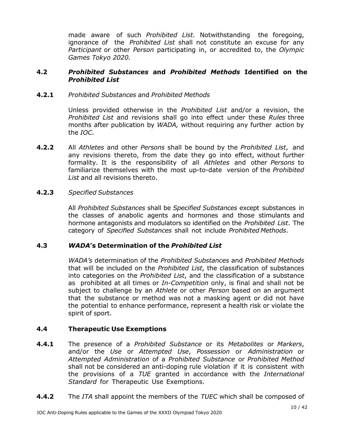made aware of such *Prohibited List.* Notwithstanding the foregoing, ignorance of the *Prohibited List* shall not constitute an excuse for any *Participant* or other *Person* participating in, or accredited to, the *Olympic Games Tokyo 2020.*

#### **4.2** *Prohibited Substances* **and** *Prohibited Methods* **Identified on the** *Prohibited List*

# **4.2.1** *Prohibited Substances* and *Prohibited Methods*

Unless provided otherwise in the *Prohibited List* and/or a revision, the *Prohibited List* and revisions shall go into effect under these *Rules* three months after publication by *WADA,* without requiring any further action by the *IOC.*

**4.2.2** All *Athletes* and other *Persons* shall be bound by the *Prohibited List*, and any revisions thereto, from the date they go into effect, without further formality. It is the responsibility of all *Athletes* and other *Persons* to familiarize themselves with the most up-to-date version of the *Prohibited List* and all revisions thereto.

#### **4.2.3** *Specified Substances*

All *Prohibited Substances* shall be *Specified Substances* except substances in the classes of anabolic agents and hormones and those stimulants and hormone antagonists and modulators so identified on the *Prohibited List*. The category of *Specified Substances* shall not include *Prohibited Methods*.

# **4.3** *WADA***'s Determination of the** *Prohibited List*

*WADA's* determination of the *Prohibited Substances* and *Prohibited Methods* that will be included on the *Prohibited List*, the classification of substances into categories on the *Prohibited List*, and the classification of a substance as prohibited at all times or *In-Competition* only, is final and shall not be subject to challenge by an *Athlete* or other *Person* based on an argument that the substance or method was not a masking agent or did not have the potential to enhance performance, represent a health risk or violate the spirit of sport.

# **4.4 Therapeutic Use Exemptions**

- **4.4.1** The presence of a *Prohibited Substance* or its *Metabolites* or *Markers*, and/or the *Use* or *Attempted Use*, *Possession* or *Administration* or *Attempted Administration* of a *Prohibited Substance* or *Prohibited Method* shall not be considered an anti-doping rule violation if it is consistent with the provisions of a *TUE* granted in accordance with the *International Standard* for Therapeutic Use Exemptions.
- **4.4.2** The *ITA* shall appoint the members of the *TUEC* which shall be composed of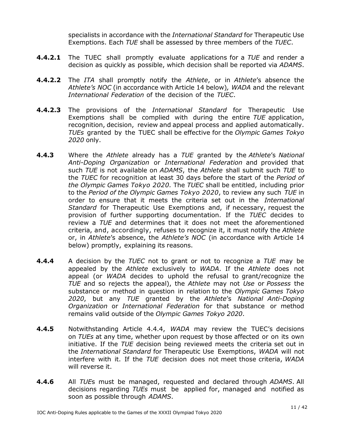specialists in accordance with the *International Standard* for Therapeutic Use Exemptions. Each *TUE* shall be assessed by three members of the *TUEC*.

- **4.4.2.1** The TUEC shall promptly evaluate applications for a *TUE* and render a decision as quickly as possible, which decision shall be reported via *ADAMS*.
- **4.4.2.2** The *ITA* shall promptly notify the *Athlete*, or in *Athlete*'s absence the *Athlete's NOC* (in accordance with Article 14 below)*, WADA* and the relevant *International Federation* of the decision of the *TUEC*.
- **4.4.2.3** The provisions of the *International Standard* for Therapeutic Use Exemptions shall be complied with during the entire *TUE* application, recognition, decision, review and appeal process and applied automatically. *TUEs* granted by the TUEC shall be effective for the *Olympic Games Tokyo 2020* only.
- **4.4.3** Where the *Athlete* already has a *TUE* granted by the *Athlete*'s *National Anti-Doping Organization* or *International Federation* and provided that such *TUE* is not available on *ADAMS*, the *Athlete* shall submit such *TUE* to the *TUEC* for recognition at least 30 days before the start of the *Period of the Olympic Games Tokyo 2020.* The *TUEC* shall be entitled, including prior to the *Period of the Olympic Games Tokyo 2020*, to review any such *TUE* in order to ensure that it meets the criteria set out in the *International Standard* for Therapeutic Use Exemptions and, if necessary, request the provision of further supporting documentation. If the *TUEC* decides to review a *TUE* and determines that it does not meet the aforementioned criteria, and, accordingly, refuses to recognize it, it must notify the *Athlete* or, in *Athlete*'s absence, the *Athlete's NOC* (in accordance with Article 14 below) promptly, explaining its reasons.
- **4.4.4** A decision by the *TUEC* not to grant or not to recognize a *TUE* may be appealed by the *Athlete* exclusively to *WADA*. If the *Athlete* does not appeal (or *WADA* decides to uphold the refusal to grant/recognize the *TUE* and so rejects the appeal), the *Athlete* may not *Use* or *Possess* the substance or method in question in relation to the *Olympic Games Tokyo 2020*, but any *TUE* granted by the *Athlete*'s *National Anti-Doping Organization* or *International Federation* for that substance or method remains valid outside of the *Olympic Games Tokyo 2020*.
- **4.4.5** Notwithstanding Article 4.4.4, *WADA* may review the TUEC's decisions on *TUEs* at any time, whether upon request by those affected or on its own initiative. If the *TUE* decision being reviewed meets the criteria set out in the *International Standard* for Therapeutic Use Exemptions, *WADA* will not interfere with it. If the *TUE* decision does not meet those criteria, *WADA* will reverse it.
- **4.4.6** All *TUE*s must be managed, requested and declared through *ADAMS*. All decisions regarding *TUEs* must be applied for, managed and notified as soon as possible through *ADAMS*.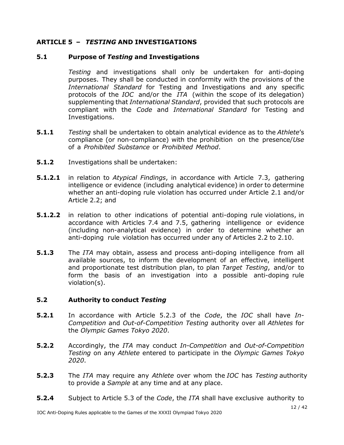# <span id="page-11-0"></span>**ARTICLE 5 –** *TESTING* **AND INVESTIGATIONS**

## **5.1 Purpose of** *Testing* **and Investigations**

*Testing* and investigations shall only be undertaken for anti-doping purposes. They shall be conducted in conformity with the provisions of the *International Standard* for Testing and Investigations and any specific protocols of the *IOC* and/or the *ITA* (within the scope of its delegation) supplementing that *International Standard*, provided that such protocols are compliant with the *Code* and *International Standard* for Testing and Investigations.

- **5.1.1** *Testing* shall be undertaken to obtain analytical evidence as to the *Athlete*'s compliance (or non-compliance) with the prohibition on the presence/*Use* of a *Prohibited Substance* or *Prohibited Method*.
- **5.1.2** Investigations shall be undertaken:
- **5.1.2.1** in relation to *Atypical Findings*, in accordance with Article 7.3, gathering intelligence or evidence (including analytical evidence) in order to determine whether an anti-doping rule violation has occurred under Article 2.1 and/or Article 2.2; and
- **5.1.2.2** in relation to other indications of potential anti-doping rule violations, in accordance with Articles 7.4 and 7.5, gathering intelligence or evidence (including non-analytical evidence) in order to determine whether an anti-doping rule violation has occurred under any of Articles 2.2 to 2.10.
- **5.1.3** The *ITA* may obtain, assess and process anti-doping intelligence from all available sources, to inform the development of an effective, intelligent and proportionate test distribution plan, to plan *Target Testing*, and/or to form the basis of an investigation into a possible anti-doping rule violation(s).

# **5.2 Authority to conduct** *Testing*

- **5.2.1** In accordance with Article 5.2.3 of the *Code*, the *IOC* shall have *In-Competition* and *Out-of-Competition Testing* authority over all *Athletes* for the *Olympic Games Tokyo 2020*.
- **5.2.2** Accordingly, the *ITA* may conduct *In-Competition* and *Out-of-Competition Testing* on any *Athlete* entered to participate in the *Olympic Games Tokyo 2020*.
- **5.2.3** The *ITA* may require any *Athlete* over whom the *IOC* has *Testing* authority to provide a *Sample* at any time and at any place.
- **5.2.4** Subject to Article 5.3 of the *Code*, the *ITA* shall have exclusive authority to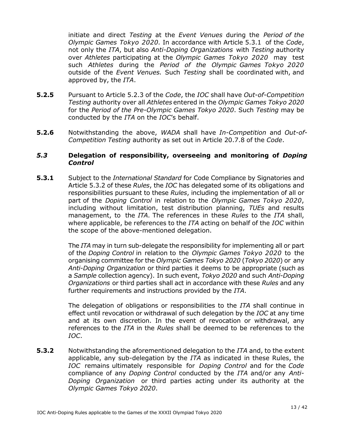initiate and direct *Testing* at the *Event Venues* during the *Period of the Olympic Games Tokyo 2020.* In accordance with Article 5.3.1 of the *Code*, not only the *ITA*, but also *Anti-Doping Organizations* with *Testing* authority over *Athletes* participating at the *Olympic Games Tokyo 2020* may test such *Athletes* during the *Period of the Olympic Games Tokyo 2020* outside of the *Event Venues.* Such *Testing* shall be coordinated with, and approved by, the *ITA*.

- **5.2.5** Pursuant to Article 5.2.3 of the *Code*, the *IOC* shall have *Out-of-Competition Testing* authority over all *Athletes* entered in the *Olympic Games Tokyo 2020*  for the *Period of the Pre-Olympic Games Tokyo 2020*. Such *Testing* may be conducted by the *ITA* on the *IOC*'s behalf.
- **5.2.6** Notwithstanding the above, *WADA* shall have *In-Competition* and *Out-of-Competition Testing* authority as set out in Article 20.7.8 of the *Code*.

#### *5.3* **Delegation of responsibility, overseeing and monitoring of** *Doping Control*

**5.3.1** Subject to the *International Standard* for Code Compliance by Signatories and Article 5.3.2 of these *Rules*, the *IOC* has delegated some of its obligations and responsibilities pursuant to these *Rules*, including the implementation of all or part of the *Doping Control* in relation to the *Olympic Games Tokyo 2020*, including without limitation, test distribution planning, *TUEs* and results management, to the *ITA*. The references in these *Rules* to the *ITA* shall, where applicable, be references to the *ITA* acting on behalf of the *IOC* within the scope of the above-mentioned delegation.

> The *ITA* may in turn sub-delegate the responsibility for implementing all or part of the *Doping Control* in relation to the *Olympic Games Tokyo 2020* to the organising committee for the *Olympic Games Tokyo 2020* (*Tokyo 2020*) or any *Anti-Doping Organization* or third parties it deems to be appropriate (such as a *Sample* collection agency). In such event, *Tokyo 2020* and such *Anti-Doping Organizations* or third parties shall act in accordance with these *Rules* and any further requirements and instructions provided by the *ITA*.

> The delegation of obligations or responsibilities to the *ITA* shall continue in effect until revocation or withdrawal of such delegation by the *IOC* at any time and at its own discretion. In the event of revocation or withdrawal, any references to the *ITA* in the *Rules* shall be deemed to be references to the *IOC*.

**5.3.2** Notwithstanding the aforementioned delegation to the *ITA* and, to the extent applicable, any sub-delegation by the *ITA* as indicated in these Rules, the *IOC* remains ultimately responsible for *Doping Control* and for the *Code* compliance of any *Doping Control* conducted by the *ITA* and/or any *Anti-Doping Organization* or third parties acting under its authority at the *Olympic Games Tokyo 2020*.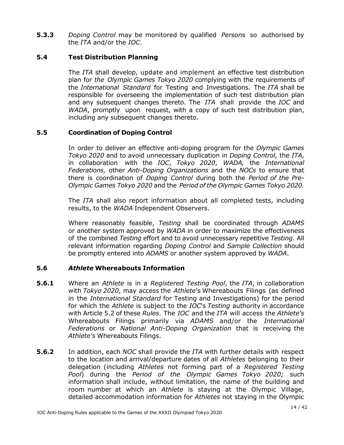**5.3.3** *Doping Control* may be monitored by qualified *Person*s so authorised by the *ITA* and/or the *IOC*.

# **5.4 Test Distribution Planning**

The *ITA* shall develop, update and implement an effective test distribution plan for *the Olympic Games Tokyo 2020* complying with the requirements of the *International Standard* for Testing and Investigations. The *ITA* shall be responsible for overseeing the implementation of such test distribution plan and any subsequent changes thereto. The *ITA* shall provide the *IOC* and *WADA*, promptly upon request, with a copy of such test distribution plan, including any subsequent changes thereto.

## **5.5 Coordination of Doping Control**

In order to deliver an effective anti-doping program for the *Olympic Games Tokyo 2020* and to avoid unnecessary duplication in *Doping Control,* the *ITA*, in collaboration with the *IOC*, *Tokyo 2020*, *WADA,* the *International Federations,* other *Anti-Doping Organizations* and the *NOCs* to ensure that there is coordination of *Doping Control* during both the *Period of the Pre-Olympic Games Tokyo 2020* and the *Period of the Olympic Games Tokyo 2020.*

The *ITA* shall also report information about all completed tests, including results, to the *WADA* Independent Observers.

Where reasonably feasible, *Testing* shall be coordinated through *ADAMS* or another system approved by *WADA* in order to maximize the effectiveness of the combined *Testing* effort and to avoid unnecessary repetitive *Testing*. All relevant information regarding *Doping Control* and *Sample Collection* should be promptly entered into *ADAMS* or another system approved by *WADA*.

# **5.6** *Athlete* **Whereabouts Information**

- **5.6.1** Where an *Athlete* is in a *Registered Testing Pool*, the *ITA*, in collaboration with *Tokyo 2020*, may access the *Athlete*'s Whereabouts Filings (as defined in the *International Standard* for Testing and Investigations) for the period for which the *Athlete* is subject to the *IOC*'s *Testing* authority in accordance with Article 5.2 of these *Rules*. The *IOC* and the *ITA* will access the *Athlete's* Whereabouts Filings primarily via *ADAMS* and/or the *International Federations* or *National Anti-Doping Organization* that is receiving the *Athlete's* Whereabouts Filings.
- **5.6.2** In addition, each *NOC* shall provide the *ITA* with further details with respect to the location and arrival/departure dates of all *Athletes* belonging to their delegation (including *Athletes* not forming part of a *Registered Testing Pool*) during the *Period of the Olympic Games Tokyo 2020;* such information shall include, without limitation, the name of the building and room number at which an *Athlete* is staying at the Olympic Village, detailed accommodation information for *Athletes* not staying in the Olympic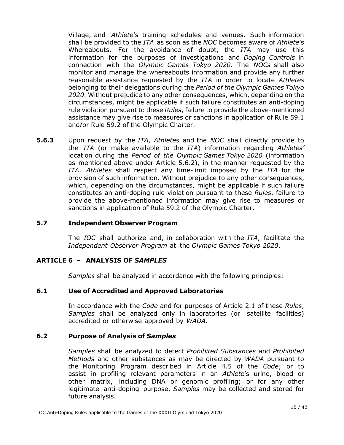Village, and *Athlete*'s training schedules and venues. Such information shall be provided to the *ITA* as soon as the *NOC* becomes aware of *Athlete*'s Whereabouts. For the avoidance of doubt, the *ITA* may use this information for the purposes of investigations and *Doping Controls* in connection with the *Olympic Games Tokyo 2020*. The *NOCs* shall also monitor and manage the whereabouts information and provide any further reasonable assistance requested by the *ITA* in order to locate *Athletes* belonging to their delegations during the *Period of the Olympic Games Tokyo 2020*. Without prejudice to any other consequences, which, depending on the circumstances, might be applicable if such failure constitutes an anti-doping rule violation pursuant to these *Rules*, failure to provide the above-mentioned assistance may give rise to measures or sanctions in application of Rule 59.1 and/or Rule 59.2 of the Olympic Charter.

**5.6.3** Upon request by the *ITA*, *Athletes* and the *NOC* shall directly provide to the *ITA* (or make available to the *ITA*) information regarding *Athletes'* location during the *Period of the Olympic Games Tokyo 2020* (information as mentioned above under Article 5.6.2), in the manner requested by the *ITA*. *Athletes* shall respect any time-limit imposed by the *ITA* for the provision of such information. Without prejudice to any other consequences, which, depending on the circumstances, might be applicable if such failure constitutes an anti-doping rule violation pursuant to these *Rules*, failure to provide the above-mentioned information may give rise to measures or sanctions in application of Rule 59.2 of the Olympic Charter.

#### **5.7 Independent Observer Program**

The *IOC* shall authorize and, in collaboration with the *ITA*, facilitate the *Independent Observer Program* at the *Olympic Games Tokyo 2020*.

#### <span id="page-14-0"></span>**ARTICLE 6 – ANALYSIS OF** *SAMPLES*

*Samples* shall be analyzed in accordance with the following principles:

#### **6.1 Use of Accredited and Approved Laboratories**

In accordance with the *Code* and for purposes of Article 2.1 of these *Rules*, *Samples* shall be analyzed only in laboratories (or satellite facilities) accredited or otherwise approved by *WADA*.

#### **6.2 Purpose of Analysis of** *Samples*

*Samples* shall be analyzed to detect *Prohibited Substances* and *Prohibited Methods* and other substances as may be directed by *WADA* pursuant to the Monitoring Program described in Article 4.5 of the *Code*; or to assist in profiling relevant parameters in an *Athlete*'s urine, blood or other matrix, including DNA or genomic profiling; or for any other legitimate anti-doping purpose. *Samples* may be collected and stored for future analysis.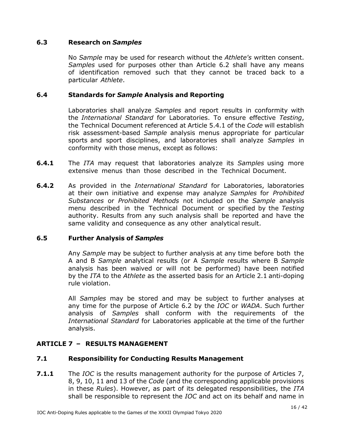## **6.3 Research on** *Samples*

No *Sample* may be used for research without the *Athlete's* written consent. *Samples* used for purposes other than Article 6.2 shall have any means of identification removed such that they cannot be traced back to a particular *Athlete*.

#### **6.4 Standards for** *Sample* **Analysis and Reporting**

Laboratories shall analyze *Samples* and report results in conformity with the *International Standard* for Laboratories. To ensure effective *Testing*, the Technical Document referenced at Article 5.4.1 of the *Code* will establish risk assessment-based *Sample* analysis menus appropriate for particular sports and sport disciplines, and laboratories shall analyze *Samples* in conformity with those menus, except as follows:

- **6.4.1** The *ITA* may request that laboratories analyze its *Samples* using more extensive menus than those described in the Technical Document.
- **6.4.2** As provided in the *International Standard* for Laboratories, laboratories at their own initiative and expense may analyze *Samples* for *Prohibited Substances* or *Prohibited Methods* not included on the *Sample* analysis menu described in the Technical Document or specified by the *Testing* authority. Results from any such analysis shall be reported and have the same validity and consequence as any other analytical result.

#### **6.5 Further Analysis of** *Samples*

Any *Sample* may be subject to further analysis at any time before both the A and B *Sample* analytical results (or A *Sample* results where B *Sample* analysis has been waived or will not be performed) have been notified by the *ITA* to the *Athlete* as the asserted basis for an Article 2.1 anti-doping rule violation.

All *Samples* may be stored and may be subject to further analyses at any time for the purpose of Article 6.2 by the *IOC* or *WADA*. Such further analysis of *Samples* shall conform with the requirements of the *International Standard* for Laboratories applicable at the time of the further analysis.

# <span id="page-15-0"></span>**ARTICLE 7 – RESULTS MANAGEMENT**

# **7.1 Responsibility for Conducting Results Management**

**7.1.1** The *IOC* is the results management authority for the purpose of Articles 7, 8, 9, 10, 11 and 13 of the *Code* (and the corresponding applicable provisions in these *Rules*). However, as part of its delegated responsibilities, the *ITA* shall be responsible to represent the *IOC* and act on its behalf and name in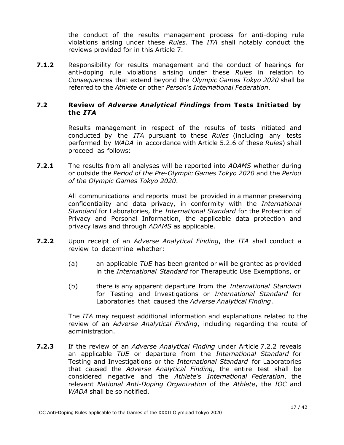the conduct of the results management process for anti-doping rule violations arising under these *Rules*. The *ITA* shall notably conduct the reviews provided for in this Article 7.

**7.1.2** Responsibility for results management and the conduct of hearings for anti-doping rule violations arising under these *Rules* in relation to *Consequences* that extend beyond the *Olympic Games Tokyo 2020* shall be referred to the *Athlete* or other *Person*'s *International Federation*.

# **7.2 Review of** *Adverse Analytical Findings* **from Tests Initiated by the** *ITA*

Results management in respect of the results of tests initiated and conducted by the *ITA* pursuant to these *Rules* (including any tests performed by *WADA* in accordance with Article 5.2.6 of these *Rules*) shall proceed as follows:

**7.2.1** The results from all analyses will be reported into *ADAMS* whether during or outside the *Period of the Pre-Olympic Games Tokyo 2020* and the *Period of the Olympic Games Tokyo 2020*.

> All communications and reports must be provided in a manner preserving confidentiality and data privacy, in conformity with the *International Standard* for Laboratories, the *International Standard* for the Protection of Privacy and Personal Information, the applicable data protection and privacy laws and through *ADAMS* as applicable.

- **7.2.2** Upon receipt of an *Adverse Analytical Finding*, the *ITA* shall conduct a review to determine whether:
	- (a) an applicable *TUE* has been granted or will be granted as provided in the *International Standard* for Therapeutic Use Exemptions, or
	- (b) there is any apparent departure from the *International Standard* for Testing and Investigations or *International Standard* for Laboratories that caused the *Adverse Analytical Finding*.

The *ITA* may request additional information and explanations related to the review of an *Adverse Analytical Finding*, including regarding the route of administration.

**7.2.3** If the review of an *Adverse Analytical Finding* under Article 7.2.2 reveals an applicable *TUE* or departure from the *International Standard* for Testing and Investigations or the *International Standard* for Laboratories that caused the *Adverse Analytical Finding*, the entire test shall be considered negative and the *Athlete*'s *International Federation*, the relevant *National Anti-Doping Organization* of the *Athlete*, the *IOC* and *WADA* shall be so notified.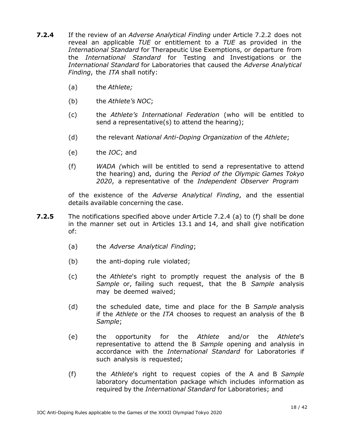- **7.2.4** If the review of an *Adverse Analytical Finding* under Article 7.2.2 does not reveal an applicable *TUE* or entitlement to a *TUE* as provided in the *International Standard* for Therapeutic Use Exemptions, or departure from the *International Standard* for Testing and Investigations or the *International Standard* for Laboratories that caused the *Adverse Analytical Finding*, the *ITA* shall notify:
	- (a) the *Athlete;*
	- (b) the *Athlete's NOC*;
	- (c) the *Athlete's International Federation* (who will be entitled to send a representative(s) to attend the hearing);
	- (d) the relevant *National Anti-Doping Organization* of the *Athlete*;
	- (e) the *IOC*; and
	- (f) *WADA (*which will be entitled to send a representative to attend the hearing) and, during the *Period of the Olympic Games Tokyo 2020*, a representative of the *Independent Observer Program*

of the existence of the *Adverse Analytical Finding*, and the essential details available concerning the case.

- **7.2.5** The notifications specified above under Article 7.2.4 (a) to (f) shall be done in the manner set out in Articles 13.1 and 14, and shall give notification of:
	- (a) the *Adverse Analytical Finding*;
	- (b) the anti-doping rule violated;
	- (c) the *Athlete*'s right to promptly request the analysis of the B *Sample* or, failing such request, that the B *Sample* analysis may be deemed waived;
	- (d) the scheduled date, time and place for the B *Sample* analysis if the *Athlete* or the *ITA* chooses to request an analysis of the B *Sample*;
	- (e) the opportunity for the *Athlete* and/or the *Athlete*'s representative to attend the B *Sample* opening and analysis in accordance with the *International Standard* for Laboratories if such analysis is requested;
	- (f) the *Athlete*'s right to request copies of the A and B *Sample* laboratory documentation package which includes information as required by the *International Standard* for Laboratories; and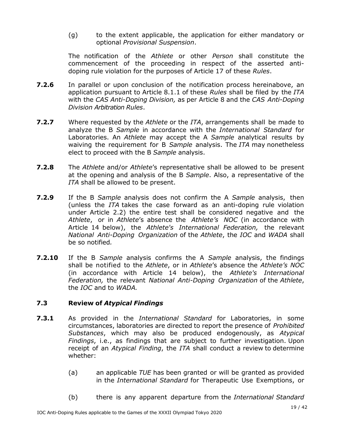(g) to the extent applicable, the application for either mandatory or optional *Provisional Suspension*.

The notification of the *Athlete* or other *Person* shall constitute the commencement of the proceeding in respect of the asserted antidoping rule violation for the purposes of Article 17 of these *Rules*.

- **7.2.6** In parallel or upon conclusion of the notification process hereinabove, an application pursuant to Article 8.1.1 of these *Rules* shall be filed by the *ITA* with the *CAS Anti-Doping Division,* as per Article 8 and the *CAS Anti-Doping Division Arbitration Rules*.
- **7.2.7** Where requested by the *Athlete* or the *ITA*, arrangements shall be made to analyze the B *Sample* in accordance with the *International Standard* for Laboratories. An *Athlete* may accept the A *Sample* analytical results by waiving the requirement for B *Sample* analysis. The *ITA* may nonetheless elect to proceed with the B *Sample* analysis.
- **7.2.8** The *Athlete* and/or *Athlete*'s representative shall be allowed to be present at the opening and analysis of the B *Sample*. Also, a representative of the *ITA* shall be allowed to be present.
- **7.2.9** If the B *Sample* analysis does not confirm the A *Sample* analysis, then (unless the *ITA* takes the case forward as an anti-doping rule violation under Article 2.2) the entire test shall be considered negative and the *Athlete*, or in *Athlete*'s absence the *Athlete's NOC* (in accordance with Article 14 below), the *Athlete's International Federation,* the relevant *National Anti-Doping Organization* of the *Athlete*, the *IOC* and *WADA* shall be so notified*.*
- **7.2.10** If the B *Sample* analysis confirms the A *Sample* analysis, the findings shall be notified to the *Athlete*, or in *Athlete*'s absence the *Athlete's NOC* (in accordance with Article 14 below), the *Athlete's International Federation,* the relevant *National Anti-Doping Organization* of the *Athlete*, the *IOC* and to *WADA.*

# **7.3 Review of** *Atypical Findings*

- **7.3.1** As provided in the *International Standard* for Laboratories, in some circumstances, laboratories are directed to report the presence of *Prohibited Substances*, which may also be produced endogenously, as *Atypical Findings*, i.e., as findings that are subject to further investigation. Upon receipt of an *Atypical Finding*, the *ITA* shall conduct a review to determine whether:
	- (a) an applicable *TUE* has been granted or will be granted as provided in the *International Standard* for Therapeutic Use Exemptions, or
	- (b) there is any apparent departure from the *International Standard*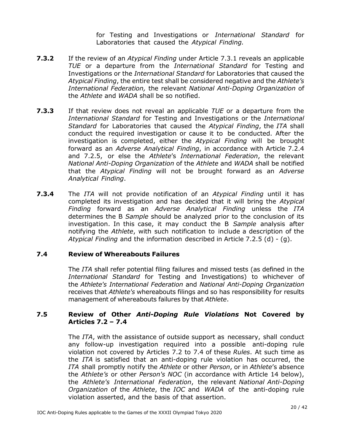for Testing and Investigations or *International Standard* for Laboratories that caused the *Atypical Finding.*

- **7.3.2** If the review of an *Atypical Finding* under Article 7.3.1 reveals an applicable *TUE* or a departure from the *International Standard* for Testing and Investigations or the *International Standard* for Laboratories that caused the *Atypical Finding*, the entire test shall be considered negative and the *Athlete's International Federation,* the relevant *National Anti-Doping Organization* of the *Athlete* and *WADA* shall be so notified.
- **7.3.3** If that review does not reveal an applicable *TUE* or a departure from the *International Standard* for Testing and Investigations or the *International Standard* for Laboratories that caused the *Atypical Finding*, the *ITA* shall conduct the required investigation or cause it to be conducted. After the investigation is completed, either the *Atypical Finding* will be brought forward as an *Adverse Analytical Finding*, in accordance with Article 7.2.4 and 7.2.5, or else the *Athlete*'s *International Federation*, the relevant *National Anti-Doping Organization* of the *Athlete* and *WADA* shall be notified that the *Atypical Finding* will not be brought forward as an *Adverse Analytical Finding*.
- **7.3.4** The *ITA* will not provide notification of an *Atypical Finding* until it has completed its investigation and has decided that it will bring the *Atypical Finding* forward as an *Adverse Analytical Finding* unless the *ITA* determines the B *Sample* should be analyzed prior to the conclusion of its investigation. In this case, it may conduct the B *Sample* analysis after notifying the *Athlete*, with such notification to include a description of the *Atypical Finding* and the information described in Article 7.2.5 (d) - (g).

#### **7.4 Review of Whereabouts Failures**

The *ITA* shall refer potential filing failures and missed tests (as defined in the *International Standard* for Testing and Investigations) to whichever of the *Athlete's International Federation* and *National Anti-Doping Organization* receives that *Athlete's* whereabouts filings and so has responsibility for results management of whereabouts failures by that *Athlete*.

## **7.5 Review of Other** *Anti-Doping Rule Violations* **Not Covered by Articles 7.2 – 7.4**

The *ITA*, with the assistance of outside support as necessary, shall conduct any follow-up investigation required into a possible anti-doping rule violation not covered by Articles 7.2 to 7.4 of these *Rules*. At such time as the *ITA* is satisfied that an anti-doping rule violation has occurred, the *ITA* shall promptly notify the *Athlete* or other *Person*, or in *Athlete*'s absence the *Athlete's* or other *Person's NOC* (in accordance with Article 14 below), the *Athlete's International Federation*, the relevant *National Anti-Doping Organization* of the *Athlete*, the *IOC* and *WADA* of the anti-doping rule violation asserted, and the basis of that assertion.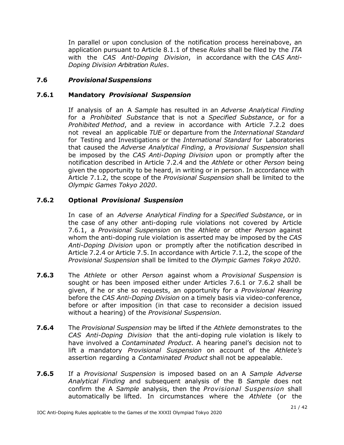In parallel or upon conclusion of the notification process hereinabove, an application pursuant to Article 8.1.1 of these *Rules* shall be filed by the *ITA* with the *CAS Anti-Doping Division*, in accordance with the *CAS Anti-Doping Division Arbitration Rules*.

# **7.6** *Provisional Suspensions*

#### **7.6.1 Mandatory** *Provisional Suspension*

If analysis of an A *Sample* has resulted in an *Adverse Analytical Finding* for a *Prohibited Substance* that is not a *Specified Substance*, or for a *Prohibited Method*, and a review in accordance with Article 7.2.2 does not reveal an applicable *TUE* or departure from the *International Standard* for Testing and Investigations or the *International Standard* for Laboratories that caused the *Adverse Analytical Finding*, a *Provisional Suspension* shall be imposed by the *CAS Anti-Doping Division* upon or promptly after the notification described in Article 7.2.4 and the *Athlete* or other *Person* being given the opportunity to be heard, in writing or in person. In accordance with Article 7.1.2, the scope of the *Provisional Suspension* shall be limited to the *Olympic Games Tokyo 2020*.

## **7.6.2 Optional** *Provisional Suspension*

In case of an *Adverse Analytical Finding* for a *Specified Substance*, or in the case of any other anti-doping rule violations not covered by Article 7.6.1, a *Provisional Suspension* on the *Athlete* or other *Person* against whom the anti-doping rule violation is asserted may be imposed by the *CAS Anti-Doping Division* upon or promptly after the notification described in Article 7.2.4 or Article 7.5. In accordance with Article 7.1.2, the scope of the *Provisional Suspension* shall be limited to the *Olympic Games Tokyo 2020*.

- **7.6.3** The *Athlete* or other *Person* against whom a *Provisional Suspension* is sought or has been imposed either under Articles 7.6.1 or 7.6.2 shall be given, if he or she so requests, an opportunity for a *Provisional Hearing*  before the *CAS Anti-Doping Division* on a timely basis via video-conference, before or after imposition (in that case to reconsider a decision issued without a hearing) of the *Provisional Suspension.*
- **7.6.4** The *Provisional Suspension* may be lifted if the *Athlete* demonstrates to the *CAS Anti-Doping Division* that the anti-doping rule violation is likely to have involved a *Contaminated Product*. A hearing panel's decision not to lift a mandatory *Provisional Suspension* on account of the *Athlete's* assertion regarding a *Contaminated Product* shall not be appealable.
- **7.6.5** If a *Provisional Suspension* is imposed based on an A *Sample Adverse Analytical Finding* and subsequent analysis of the B *Sample* does not confirm the A *Sample* analysis, then the *Provisional Suspension* shall automatically be lifted. In circumstances where the *Athlete* (or the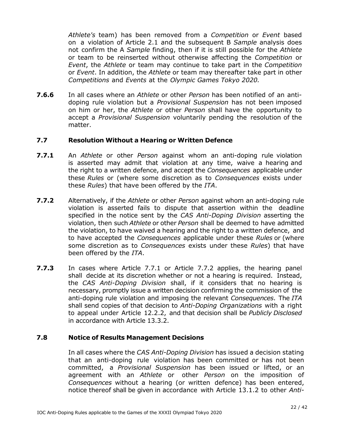*Athlete's* team) has been removed from a *Competition* or *Event* based on a violation of Article 2.1 and the subsequent B *Sample* analysis does not confirm the A *Sample* finding, then if it is still possible for the *Athlete* or team to be reinserted without otherwise affecting the *Competition* or *Event*, the *Athlete* or team may continue to take part in the *Competition* or *Event*. In addition, the *Athlete* or team may thereafter take part in other *Competitions* and *Events* at the *Olympic Games Tokyo 2020.*

**7.6.6** In all cases where an *Athlete* or other *Person* has been notified of an antidoping rule violation but a *Provisional Suspension* has not been imposed on him or her, the *Athlete* or other *Person* shall have the opportunity to accept a *Provisional Suspension* voluntarily pending the resolution of the matter.

#### **7.7 Resolution Without a Hearing or Written Defence**

- **7.7.1** An *Athlete* or other *Person* against whom an anti-doping rule violation is asserted may admit that violation at any time, waive a hearing and the right to a written defence, and accept the *Consequences* applicable under these *Rules* or (where some discretion as to *Consequences* exists under these *Rules*) that have been offered by the *ITA*.
- **7.7.2** Alternatively, if the *Athlete* or other *Person* against whom an anti-doping rule violation is asserted fails to dispute that assertion within the deadline specified in the notice sent by the *CAS Anti-Doping Division* asserting the violation, then such *Athlete* or other *Person* shall be deemed to have admitted the violation, to have waived a hearing and the right to a written defence, and to have accepted the *Consequences* applicable under these *Rules* or (where some discretion as to *Consequences* exists under these *Rules*) that have been offered by the *ITA*.
- **7.7.3** In cases where Article 7.7.1 or Article 7.7.2 applies, the hearing panel shall decide at its discretion whether or not a hearing is required. Instead, the *CAS Anti-Doping Division* shall, if it considers that no hearing is necessary, promptly issue a written decision confirming the commission of the anti-doping rule violation and imposing the relevant *Consequences*. The *ITA* shall send copies of that decision to *Anti-Doping Organizations* with a right to appeal under Article 12.2.2, and that decision shall be *Publicly Disclosed* in accordance with Article 13.3.2.

#### **7.8 Notice of Results Management Decisions**

In all cases where the *CAS Anti-Doping Division* has issued a decision stating that an anti-doping rule violation has been committed or has not been committed, a *Provisional Suspension* has been issued or lifted, or an agreement with an *Athlete* or other *Person* on the imposition of *Consequences* without a hearing (or written defence) has been entered, notice thereof shall be given in accordance with Article 13.1.2 to other *Anti-*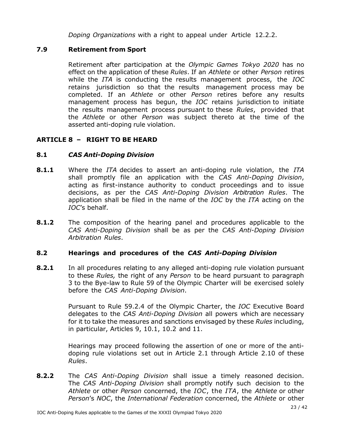*Doping Organizations* with a right to appeal under Article 12.2.2.

# **7.9 Retirement from Sport**

Retirement after participation at the *Olympic Games Tokyo 2020* has no effect on the application of these *Rules*. If an *Athlete* or other *Person* retires while the *ITA* is conducting the results management process, the *IOC* retains jurisdiction so that the results management process may be completed. If an *Athlete* or other *Person* retires before any results management process has begun, the *IOC* retains jurisdiction to initiate the results management process pursuant to these *Rules*, provided that the *Athlete* or other *Person* was subject thereto at the time of the asserted anti-doping rule violation.

# <span id="page-22-0"></span>**ARTICLE 8 – RIGHT TO BE HEARD**

# **8.1** *CAS Anti-Doping Division*

- **8.1.1** Where the *ITA* decides to assert an anti-doping rule violation, the *ITA* shall promptly file an application with the *CAS Anti-Doping Division*, acting as first-instance authority to conduct proceedings and to issue decisions, as per the *CAS Anti-Doping Division Arbitration Rules*. The application shall be filed in the name of the *IOC* by the *ITA* acting on the *IOC*'s behalf.
- **8.1.2** The composition of the hearing panel and procedures applicable to the *CAS Anti-Doping Division* shall be as per the *CAS Anti-Doping Division Arbitration Rules*.

# **8.2 Hearings and procedures of the** *CAS Anti-Doping Division*

**8.2.1** In all procedures relating to any alleged anti-doping rule violation pursuant to these *Rules,* the right of any *Person* to be heard pursuant to paragraph 3 to the Bye-law to Rule 59 of the Olympic Charter will be exercised solely before the *CAS Anti-Doping Division*.

> Pursuant to Rule 59.2.4 of the Olympic Charter, the *IOC* Executive Board delegates to the *CAS Anti-Doping Division* all powers which are necessary for it to take the measures and sanctions envisaged by these *Rules* including, in particular, Articles 9, 10.1, 10.2 and 11.

> Hearings may proceed following the assertion of one or more of the antidoping rule violations set out in Article 2.1 through Article 2.10 of these *Rules*.

**8.2.2** The *CAS Anti-Doping Division* shall issue a timely reasoned decision. The *CAS Anti-Doping Division* shall promptly notify such decision to the *Athlete* or other *Person* concerned, the *IOC*, the *ITA*, the *Athlete* or other *Person*'s *NOC*, the *International Federation* concerned, the *Athlete* or other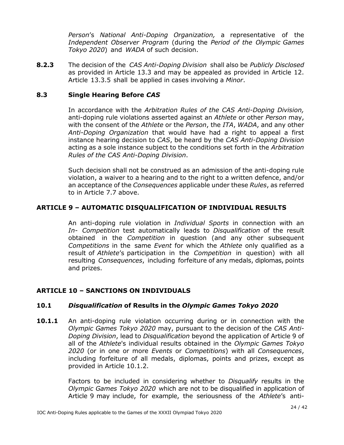*Person*'s *National Anti-Doping Organization,* a representative of the *Independent Observer Program* (during the *Period of the Olympic Games Tokyo 2020*) and *WADA* of such decision.

**8.2.3** The decision of the *CAS Anti-Doping Division* shall also be *Publicly Disclosed* as provided in Article 13.3 and may be appealed as provided in Article 12. Article 13.3.5 shall be applied in cases involving a *Minor*.

# **8.3 Single Hearing Before** *CAS*

In accordance with the *Arbitration Rules of the CAS Anti-Doping Division,* anti-doping rule violations asserted against an *Athlete* or other *Person* may, with the consent of the *Athlete* or the *Person*, the *ITA*, *WADA*, and any other *Anti-Doping Organization* that would have had a right to appeal a first instance hearing decision to *CAS*, be heard by the *CAS Anti-Doping Division*  acting as a sole instance subject to the conditions set forth in the *Arbitration Rules of the CAS Anti-Doping Division*.

Such decision shall not be construed as an admission of the anti-doping rule violation, a waiver to a hearing and to the right to a written defence, and/or an acceptance of the *Consequences* applicable under these *Rules*, as referred to in Article 7.7 above.

# <span id="page-23-0"></span>**ARTICLE 9 – AUTOMATIC DISQUALIFICATION OF INDIVIDUAL RESULTS**

An anti-doping rule violation in *Individual Sports* in connection with an *In- Competition* test automatically leads to *Disqualification* of the result obtained in the *Competition* in question (and any other subsequent *Competitions* in the same *Event* for which the *Athlete* only qualified as a result of *Athlete*'s participation in the *Competition* in question) with all resulting *Consequences*, including forfeiture of any medals, diplomas, points and prizes.

# <span id="page-23-1"></span>**ARTICLE 10 – SANCTIONS ON INDIVIDUALS**

#### **10.1** *Disqualification* **of Results in the** *Olympic Games Tokyo 2020*

**10.1.1** An anti-doping rule violation occurring during or in connection with the *Olympic Games Tokyo 2020* may, pursuant to the decision of the *CAS Anti-Doping Division*, lead to *Disqualification* beyond the application of Article 9 of all of the *Athlete*'s individual results obtained in the *Olympic Games Tokyo 2020* (or in one or more *Events* or *Competitions*) with all *Consequences*, including forfeiture of all medals, diplomas, points and prizes, except as provided in Article 10.1.2.

> Factors to be included in considering whether to *Disqualify* results in the *Olympic Games Tokyo 2020* which are not to be disqualified in application of Article 9 may include, for example, the seriousness of the *Athlete*'s anti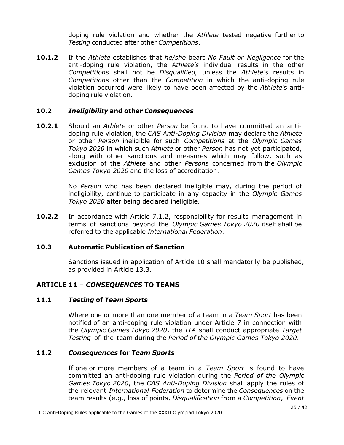doping rule violation and whether the *Athlete* tested negative further to *Testing* conducted after other *Competitions*.

**10.1.2** If the *Athlete* establishes that *he/she* bears *No Fault or Negligence* for the anti-doping rule violation, the *Athlete's* individual results in the other *Competition*s shall not be *Disqualified,* unless the *Athlete's* results in *Competition*s other than the *Competition* in which the anti-doping rule violation occurred were likely to have been affected by the *Athlete*'s antidoping rule violation.

## **10.2** *Ineligibility* **and other** *Consequences*

**10.2.1** Should an *Athlete* or other *Person* be found to have committed an antidoping rule violation, the *CAS Anti-Doping Division* may declare the *Athlete* or other *Person* ineligible for such *Competitions* at the *Olympic Games Tokyo 2020* in which such *Athlete* or other *Person* has not yet participated, along with other sanctions and measures which may follow, such as exclusion of the *Athlete* and other *Persons* concerned from the *Olympic Games Tokyo 2020* and the loss of accreditation.

> No *Person* who has been declared ineligible may, during the period of ineligibility, continue to participate in any capacity in the *Olympic Games Tokyo 2020* after being declared ineligible.

**10.2.2** In accordance with Article 7.1.2, responsibility for results management in terms of sanctions beyond the *Olympic Games Tokyo 2020* itself shall be referred to the applicable *International Federation*.

# **10.3 Automatic Publication of Sanction**

Sanctions issued in application of Article 10 shall mandatorily be published, as provided in Article 13.3.

# <span id="page-24-0"></span>**ARTICLE 11 –** *CONSEQUENCES* **TO TEAMS**

#### **11.1** *Testing* **of** *Team Sport***s**

Where one or more than one member of a team in a *Team Sport* has been notified of an anti-doping rule violation under Article 7 in connection with the *Olympic Games Tokyo 2020*, the *ITA* shall conduct appropriate *Target Testing* of the team during the *Period of the Olympic Games Tokyo 2020*.

#### **11.2** *Consequences* **for** *Team Sport***s**

If one or more members of a team in a *Team Sport* is found to have committed an anti-doping rule violation during the *Period of the Olympic Games Tokyo 2020*, the *CAS Anti-Doping Division* shall apply the rules of the relevant *International Federation* to determine the *Consequences* on the team results (e.g., loss of points, *Disqualification* from a *Competition*, *Event*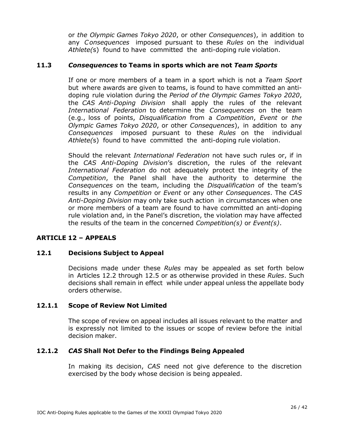or *the Olympic Games Tokyo 2020*, or other *Consequences*), in addition to any *Consequences* imposed pursuant to these *Rules* on the individual *Athlete(*s) found to have committed the anti-doping rule violation.

## **11.3** *Consequences* **to Teams in sports which are not** *Team Sports*

If one or more members of a team in a sport which is not a *Team Sport* but where awards are given to teams, is found to have committed an antidoping rule violation during the *Period of the Olympic Games Tokyo 2020*, the *CAS Anti-Doping Division* shall apply the rules of the relevant *International Federation* to determine the *Consequences* on the team (e.g., loss of points, *Disqualification* from a *Competition*, *Event* or *the Olympic Games Tokyo 2020*, or other *Consequences*), in addition to any *Consequences* imposed pursuant to these *Rules* on the individual *Athlete(*s) found to have committed the anti-doping rule violation.

Should the relevant *International Federation* not have such rules or, if in the *CAS Anti-Doping Division*'s discretion, the rules of the relevant *International Federation* do not adequately protect the integrity of the *Competition*, the Panel shall have the authority to determine the *Consequences* on the team, including the *Disqualification* of the team's results in any *Competition* or *Event* or any other *Consequences*. The *CAS Anti-Doping Division* may only take such action in circumstances when one or more members of a team are found to have committed an anti-doping rule violation and, in the Panel's discretion, the violation may have affected the results of the team in the concerned *Competition(s)* or *Event(s)*.

# <span id="page-25-0"></span>**ARTICLE 12 – APPEALS**

# **12.1 Decisions Subject to Appeal**

Decisions made under these *Rules* may be appealed as set forth below in Articles 12.2 through 12.5 or as otherwise provided in these *Rules*. Such decisions shall remain in effect while under appeal unless the appellate body orders otherwise.

# **12.1.1 Scope of Review Not Limited**

The scope of review on appeal includes all issues relevant to the matter and is expressly not limited to the issues or scope of review before the initial decision maker.

# **12.1.2** *CAS* **Shall Not Defer to the Findings Being Appealed**

In making its decision, *CAS* need not give deference to the discretion exercised by the body whose decision is being appealed.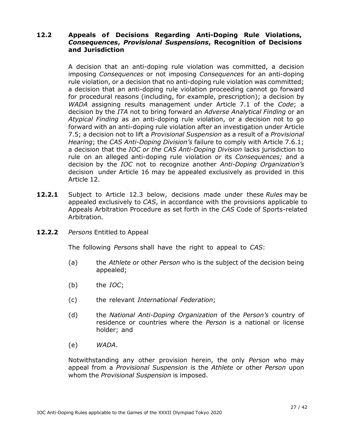## **12.2 Appeals of Decisions Regarding Anti-Doping Rule Violations,** *Consequences***,** *Provisional Suspensions***, Recognition of Decisions and Jurisdiction**

A decision that an anti-doping rule violation was committed, a decision imposing *Consequences* or not imposing *Consequences* for an anti-doping rule violation, or a decision that no anti-doping rule violation was committed; a decision that an anti-doping rule violation proceeding cannot go forward for procedural reasons (including, for example, prescription); a decision by *WADA* assigning results management under Article 7.1 of the *Code*; a decision by the *ITA* not to bring forward an *Adverse Analytical Finding* or an *Atypical Finding* as an anti-doping rule violation, or a decision not to go forward with an anti-doping rule violation after an investigation under Article 7.5; a decision not to lift a *Provisional Suspension* as a result of a *Provisional Hearing*; the *CAS Anti*-*Doping Division's* failure to comply with Article 7.6.1; a decision that the *IOC or the CAS Anti-Doping Division* lacks jurisdiction to rule on an alleged anti-doping rule violation or its *Consequences;* and a decision by the *IOC* not to recognize another *Anti-Doping Organization's* decision under Article 16 may be appealed exclusively as provided in this Article 12.

- **12.2.1** Subject to Article 12.3 below, decisions made under these *Rules* may be appealed exclusively to *CAS*, in accordance with the provisions applicable to Appeals Arbitration Procedure as set forth in the *CAS* Code of Sports-related Arbitration*.*
- **12.2.2** *Persons* Entitled to Appeal

The following *Persons* shall have the right to appeal to *CAS*:

- (a) the *Athlete* or other *Person* who is the subject of the decision being appealed;
- (b) the *IOC*;
- (c) the relevant *International Federation*;
- (d) the *National Anti-Doping Organization* of the *Person's* country of residence or countries where the *Person* is a national or license holder; and
- (e) *WADA*.

Notwithstanding any other provision herein, the only *Person* who may appeal from a *Provisional Suspension* is the *Athlete* or other *Person* upon whom the *Provisional Suspension* is imposed.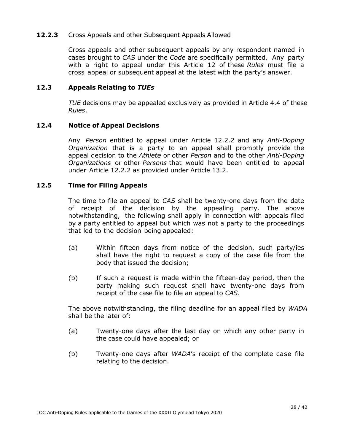#### **12.2.3** Cross Appeals and other Subsequent Appeals Allowed

Cross appeals and other subsequent appeals by any respondent named in cases brought to *CAS* under the *Code* are specifically permitted*.* Any party with a right to appeal under this Article 12 of these *Rules* must file a cross appeal or subsequent appeal at the latest with the party's answer.

#### **12.3 Appeals Relating to** *TUEs*

*TUE* decisions may be appealed exclusively as provided in Article 4.4 of these *Rules*.

#### **12.4 Notice of Appeal Decisions**

Any *Person* entitled to appeal under Article 12.2.2 and any *Anti-Doping Organization* that is a party to an appeal shall promptly provide the appeal decision to the *Athlete* or other *Person* and to the other *Anti-Doping Organizations* or other *Persons* that would have been entitled to appeal under Article 12.2.2 as provided under Article 13.2.

#### **12.5 Time for Filing Appeals**

The time to file an appeal to *CAS* shall be twenty-one days from the date of receipt of the decision by the appealing party. The above notwithstanding, the following shall apply in connection with appeals filed by a party entitled to appeal but which was not a party to the proceedings that led to the decision being appealed:

- (a) Within fifteen days from notice of the decision, such party/ies shall have the right to request a copy of the case file from the body that issued the decision;
- (b) If such a request is made within the fifteen-day period, then the party making such request shall have twenty-one days from receipt of the case file to file an appeal to *CAS*.

The above notwithstanding, the filing deadline for an appeal filed by *WADA* shall be the later of:

- (a) Twenty-one days after the last day on which any other party in the case could have appealed; or
- <span id="page-27-0"></span>(b) Twenty-one days after *WADA*'s receipt of the complete case file relating to the decision.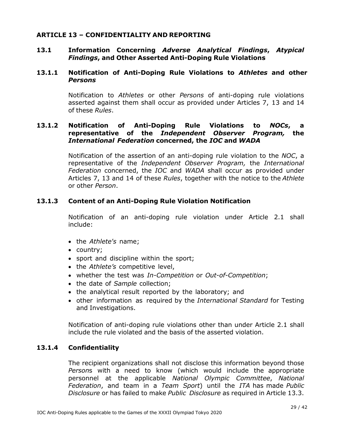## **ARTICLE 13 – CONFIDENTIALITY AND REPORTING**

#### **13.1 Information Concerning** *Adverse Analytical Findings***,** *Atypical Findings***, and Other Asserted Anti-Doping Rule Violations**

#### **13.1.1 Notification of Anti-Doping Rule Violations to** *Athletes* **and other** *Persons*

Notification to *Athletes* or other *Persons* of anti-doping rule violations asserted against them shall occur as provided under Articles 7, 13 and 14 of these *Rules*.

## **13.1.2 Notification of Anti-Doping Rule Violations to** *NOCs***, a representative of the** *Independent Observer Program,* **the** *International Federation* **concerned, the** *IOC* **and** *WADA*

Notification of the assertion of an anti-doping rule violation to the *NOC*, a representative of the *Independent Observer Program,* the *International Federation* concerned, the *IOC* and *WADA* shall occur as provided under Articles 7, 13 and 14 of these *Rules*, together with the notice to the *Athlete* or other *Person*.

## **13.1.3 Content of an Anti-Doping Rule Violation Notification**

Notification of an anti-doping rule violation under Article 2.1 shall include:

- the *Athlete's* name;
- country;
- sport and discipline within the sport;
- the *Athlete's* competitive level,
- whether the test was *In-Competition* or *Out-of-Competition*;
- the date of *Sample* collection;
- the analytical result reported by the laboratory; and
- other information as required by the *International Standard* for Testing and Investigations.

Notification of anti-doping rule violations other than under Article 2.1 shall include the rule violated and the basis of the asserted violation.

#### **13.1.4 Confidentiality**

The recipient organizations shall not disclose this information beyond those *Person*s with a need to know (which would include the appropriate personnel at the applicable *National Olympic Committee*, *National Federation*, and team in a *Team Sport*) until the *ITA* has made *Public Disclosure* or has failed to make *Public Disclosure* as required in Article 13.3.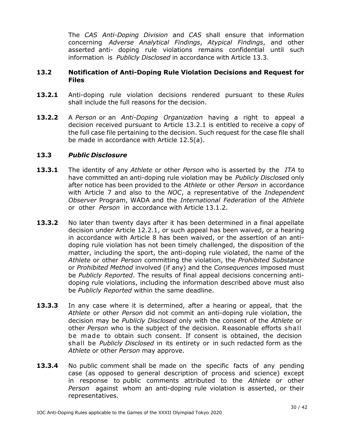The *CAS Anti-Doping Division* and *CAS* shall ensure that information concerning *Adverse Analytical Findings*, *Atypical Findings*, and other asserted anti- doping rule violations remains confidential until such information is *Publicly Disclosed* in accordance with Article 13.3.

#### **13.2 Notification of Anti-Doping Rule Violation Decisions and Request for Files**

- **13.2.1** Anti-doping rule violation decisions rendered pursuant to these *Rules* shall include the full reasons for the decision.
- **13.2.2** A *Person* or an *Anti-Doping Organization* having a right to appeal a decision received pursuant to Article 13.2.1 is entitled to receive a copy of the full case file pertaining to the decision. Such request for the case file shall be made in accordance with Article 12.5(a).

## **13.3** *Public Disclosure*

- **13.3.1** The identity of any *Athlete* or other *Person* who is asserted by the *ITA* to have committed an anti-doping rule violation may be *Publicly Disclose*d only after notice has been provided to the *Athlete* or other *Person* in accordance with Article 7 and also to the *NOC*, a representative of the *Independent Observer* Program, WADA and the *International Federation* of the *Athlete* or other *Person* in accordance with Article 13.1.2.
- **13.3.2** No later than twenty days after it has been determined in a final appellate decision under Article 12.2.1, or such appeal has been waived, or a hearing in accordance with Article 8 has been waived, or the assertion of an antidoping rule violation has not been timely challenged, the disposition of the matter, including the sport, the anti-doping rule violated, the name of the *Athlete* or other *Person* committing the violation, the *Prohibited Substance* or *Prohibited Method* involved (if any) and the *Consequences* imposed must be *Publicly Reported*. The results of final appeal decisions concerning antidoping rule violations, including the information described above must also be *Publicly Reported* within the same deadline.
- **13.3.3** In any case where it is determined, after a hearing or appeal, that the *Athlete* or other *Person* did not commit an anti-doping rule violation, the decision may be *Publicly Disclosed* only with the consent of the *Athlete* or other *Person* who is the subject of the decision. Reasonable efforts shall be made to obtain such consent. If consent is obtained, the decision shall be *Publicly Disclosed* in its entirety or in such redacted form as the *Athlete* or other *Person* may approve.
- **13.3.4** No public comment shall be made on the specific facts of any pending case (as opposed to general description of process and science) except in response to public comments attributed to the *Athlete* or other *Person* against whom an anti-doping rule violation is asserted, or their representatives.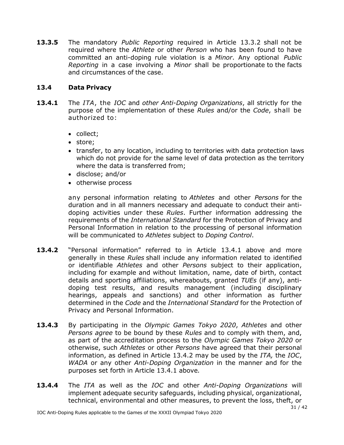**13.3.5** The mandatory *Public Reporting* required in Article 13.3.2 shall not be required where the *Athlete* or other *Person* who has been found to have committed an anti-doping rule violation is a *Minor*. Any optional *Public Reporting* in a case involving a *Minor* shall be proportionate to the facts and circumstances of the case.

# **13.4 Data Privacy**

- **13.4.1** The *ITA*, the *IOC* and *other Anti-Doping Organizations*, all strictly for the purpose of the implementation of these *Rules* and/or the *Code*, shall be authorized to:
	- collect;
	- store;
	- transfer, to any location, including to territories with data protection laws which do not provide for the same level of data protection as the territory where the data is transferred from;
	- disclose; and/or
	- otherwise process

any personal information relating to *Athletes* and other *Persons* for the duration and in all manners necessary and adequate to conduct their antidoping activities under these *Rules*. Further information addressing the requirements of the *International Standard* for the Protection of Privacy and Personal Information in relation to the processing of personal information will be communicated to *Athletes* subject to *Doping Control*.

- **13.4.2** "Personal information" referred to in Article 13.4.1 above and more generally in these *Rules* shall include any information related to identified or identifiable *Athletes* and other *Persons* subject to their application, including for example and without limitation, name, date of birth, contact details and sporting affiliations, whereabouts, granted *TUEs* (if any), antidoping test results, and results management (including disciplinary hearings, appeals and sanctions) and other information as further determined in the *Code* and the *International Standard* for the Protection of Privacy and Personal Information.
- **13.4.3** By participating in the *Olympic Games Tokyo 2020*, *Athletes* and other *Persons agree* to be bound by these *Rules* and to comply with them, and, as part of the accreditation process to the *Olympic Games Tokyo 2020* or otherwise, such *Athletes* or other *Persons* have agreed that their personal information, as defined in Article 13.4.2 may be used by the *ITA,* the *IOC*, *WADA* or any other *Anti*-*Doping Organization* in the manner and for the purposes set forth in Article 13.4.1 above*.*
- **13.4.4** The *ITA* as well as the *IOC* and other *Anti-Doping Organizations* will implement adequate security safeguards, including physical, organizational, technical, environmental and other measures, to prevent the loss, theft, or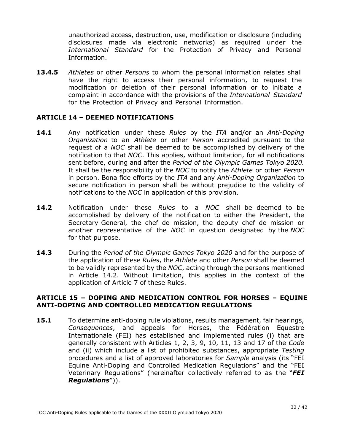unauthorized access, destruction, use, modification or disclosure (including disclosures made via electronic networks) as required under the *International Standard* for the Protection of Privacy and Personal Information.

**13.4.5** *Athletes* or other *Persons* to whom the personal information relates shall have the right to access their personal information, to request the modification or deletion of their personal information or to initiate a complaint in accordance with the provisions of the *International Standard* for the Protection of Privacy and Personal Information.

## <span id="page-31-0"></span>**ARTICLE 14 – DEEMED NOTIFICATIONS**

- **14.1** Any notification under these *Rules* by the *ITA* and/or an *Anti-Doping Organization* to an *Athlete* or other *Person* accredited pursuant to the request of a *NOC* shall be deemed to be accomplished by delivery of the notification to that *NOC*. This applies, without limitation, for all notifications sent before, during and after the *Period of the Olympic Games Tokyo 2020.* It shall be the responsibility of the *NOC* to notify the *Athlete* or other *Person* in person. Bona fide efforts by the *ITA* and any *Anti-Doping Organization* to secure notification in person shall be without prejudice to the validity of notifications to the *NOC* in application of this provision.
- **14.2** Notification under these *Rules* to a *NOC* shall be deemed to be accomplished by delivery of the notification to either the President, the Secretary General, the chef de mission, the deputy chef de mission or another representative of the *NOC* in question designated by the *NOC* for that purpose.
- **14.3** During the *Period of the Olympic Games Tokyo 2020* and for the purpose of the application of these *Rules*, the *Athlete* and other *Person* shall be deemed to be validly represented by the *NOC*, acting through the persons mentioned in Article 14.2. Without limitation, this applies in the context of the application of Article 7 of these Rules.

#### <span id="page-31-1"></span>**ARTICLE 15 – DOPING AND MEDICATION CONTROL FOR HORSES – EQUINE ANTI-DOPING AND CONTROLLED MEDICATION REGULATIONS**

**15.1** To determine anti-doping rule violations, results management, fair hearings, *Consequences*, and appeals for Horses, the Fédération Équestre Internationale (FEI) has established and implemented rules (i) that are generally consistent with Articles 1, 2, 3, 9, 10, 11, 13 and 17 of the *Code* and (ii) which include a list of prohibited substances, appropriate *Testing* procedures and a list of approved laboratories for *Sample* analysis (its "FEI Equine Anti-Doping and Controlled Medication Regulations" and the "FEI Veterinary Regulations" (hereinafter collectively referred to as the "*FEI Regulations*")).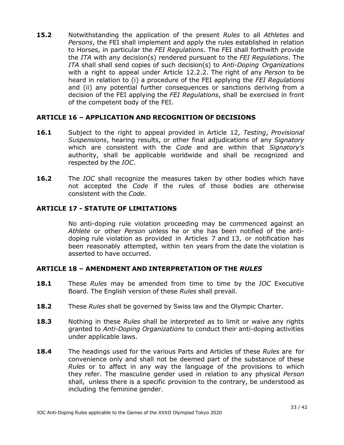**15.2** Notwithstanding the application of the present *Rules* to all *Athletes* and *Persons*, the FEI shall implement and apply the rules established in relation to Horses, in particular the *FEI Regulations*. The FEI shall forthwith provide the *ITA* with any decision(s) rendered pursuant to the *FEI Regulations*. The *ITA* shall shall send copies of such decision(s) to *Anti-Doping Organizations* with a right to appeal under Article 12.2.2. The right of any *Person* to be heard in relation to (i) a procedure of the FEI applying the *FEI Regulations* and (ii) any potential further consequences or sanctions deriving from a decision of the FEI applying the *FEI Regulations*, shall be exercised in front of the competent body of the FEI.

# <span id="page-32-0"></span>**ARTICLE 16 – APPLICATION AND RECOGNITION OF DECISIONS**

- **16.1** Subject to the right to appeal provided in Article 12, *Testing*, *Provisional Suspensions*, hearing results, or other final adjudications of any *Signatory* which are consistent with the *Code* and are within that *Signatory's* authority, shall be applicable worldwide and shall be recognized and respected by the *IOC*.
- **16.2** The *IOC* shall recognize the measures taken by other bodies which have not accepted the *Code* if the rules of those bodies are otherwise consistent with the *Code*.

# <span id="page-32-1"></span>**ARTICLE 17 - STATUTE OF LIMITATIONS**

No anti-doping rule violation proceeding may be commenced against an *Athlete* or other *Person* unless he or she has been notified of the antidoping rule violation as provided in Articles 7 and 13, or notification has been reasonably attempted, within ten years from the date the violation is asserted to have occurred.

#### <span id="page-32-2"></span>**ARTICLE 18 – AMENDMENT AND INTERPRETATION OF THE** *RULES*

- **18.1** These *Rules* may be amended from time to time by the *IOC* Executive Board. The English version of these *Rules* shall prevail.
- **18.2** These *Rules* shall be governed by Swiss law and the Olympic Charter.
- **18.3** Nothing in these *Rules* shall be interpreted as to limit or waive any rights granted to *Anti-Doping Organizations* to conduct their anti-doping activities under applicable laws.
- **18.4** The headings used for the various Parts and Articles of these *Rules* are for convenience only and shall not be deemed part of the substance of these *Rules* or to affect in any way the language of the provisions to which they refer. The masculine gender used in relation to any physical *Person* shall, unless there is a specific provision to the contrary, be understood as including the feminine gender.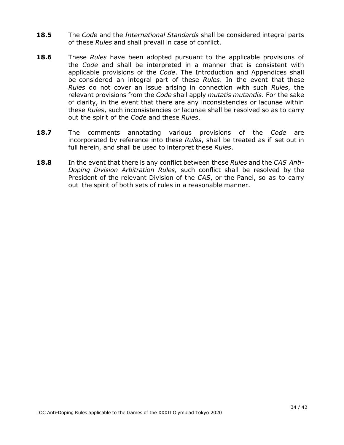- **18.5** The *Code* and the *International Standards* shall be considered integral parts of these *Rules* and shall prevail in case of conflict.
- **18.6** These *Rules* have been adopted pursuant to the applicable provisions of the *Code* and shall be interpreted in a manner that is consistent with applicable provisions of the *Code*. The Introduction and Appendices shall be considered an integral part of these *Rules*. In the event that these *Rules* do not cover an issue arising in connection with such *Rules*, the relevant provisions from the *Code* shall apply *mutatis mutandis*. For the sake of clarity, in the event that there are any inconsistencies or lacunae within these *Rules*, such inconsistencies or lacunae shall be resolved so as to carry out the spirit of the *Code* and these *Rules*.
- **18.7** The comments annotating various provisions of the *Code* are incorporated by reference into these *Rules*, shall be treated as if set out in full herein, and shall be used to interpret these *Rules*.
- **18.8** In the event that there is any conflict between these *Rules* and the *CAS Anti-Doping Division Arbitration Rules,* such conflict shall be resolved by the President of the relevant Division of the *CAS*, or the Panel, so as to carry out the spirit of both sets of rules in a reasonable manner.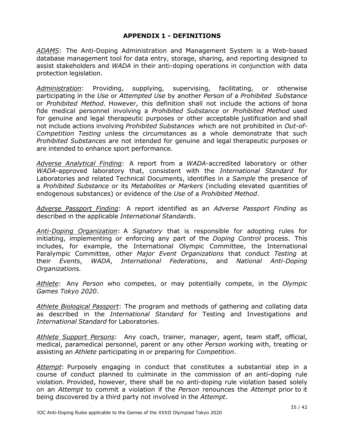# **APPENDIX 1 - DEFINITIONS**

<span id="page-34-0"></span>*ADAMS*: The Anti-Doping Administration and Management System is a Web-based database management tool for data entry, storage, sharing, and reporting designed to assist stakeholders and *WADA* in their anti-doping operations in conjunction with data protection legislation.

*Administration*: Providing, supplying, supervising, facilitating, or otherwise participating in the *Use* or *Attempted Use* by another *Person* of a *Prohibited Substance* or *Prohibited Method*. However, this definition shall not include the actions of bona fide medical personnel involving a *Prohibited Substance* or *Prohibited Method* used for genuine and legal therapeutic purposes or other acceptable justification and shall not include actions involving *Prohibited Substances* which are not prohibited in *Out-of-Competition Testing* unless the circumstances as a whole demonstrate that such *Prohibited Substances* are not intended for genuine and legal therapeutic purposes or are intended to enhance sport performance*.*

*Adverse Analytical Finding*: A report from a *WADA*-accredited laboratory or other *WADA*-approved laboratory that, consistent with the *International Standard* for Laboratories and related Technical Documents, identifies in a *Sample* the presence of a *Prohibited Substance* or its *Metabolites* or *Markers* (including elevated quantities of endogenous substances) or evidence of the *Use* of a *Prohibited Method*.

*Adverse Passport Finding*: A report identified as an *Adverse Passport Finding* as described in the applicable *International Standards*.

*Anti-Doping Organization*: A *Signatory* that is responsible for adopting rules for initiating, implementing or enforcing any part of the *Doping Control* process. This includes, for example, the International Olympic Committee, the International Paralympic Committee, other *Major Event Organizations* that conduct *Testing* at their *Events*, *WADA*, *International Federations*, and *National Anti-Doping Organization*s*.*

*Athlete*: Any *Person* who competes, or may potentially compete, in the *Olympic Games Tokyo 2020*.

*Athlete Biological Passport*: The program and methods of gathering and collating data as described in the *International Standard* for Testing and Investigations and *International Standard* for Laboratories.

*Athlete Support Persons*: Any coach, trainer, manager, agent, team staff, official, medical, paramedical personnel, parent or any other *Person* working with, treating or assisting an *Athlete* participating in or preparing for *Competition*.

*Attempt*: Purposely engaging in conduct that constitutes a substantial step in a course of conduct planned to culminate in the commission of an anti-doping rule violation. Provided, however, there shall be no anti-doping rule violation based solely on an *Attempt* to commit a violation if the *Person* renounces the *Attempt* prior to it being discovered by a third party not involved in the *Attempt*.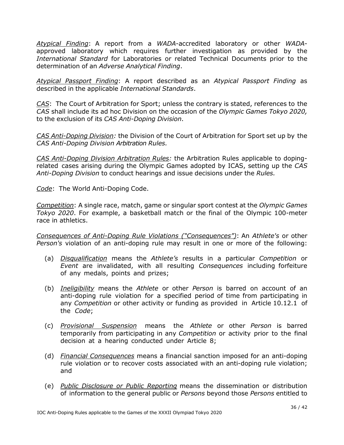*Atypical Finding*: A report from a *WADA*-accredited laboratory or other *WADA*approved laboratory which requires further investigation as provided by the *International Standard* for Laboratories or related Technical Documents prior to the determination of an *Adverse Analytical Finding*.

*Atypical Passport Finding*: A report described as an *Atypical Passport Finding* as described in the applicable *International Standards*.

*CAS*: The Court of Arbitration for Sport; unless the contrary is stated, references to the *CAS* shall include its ad hoc Division on the occasion of the *Olympic Games Tokyo 2020,* to the exclusion of its *CAS Anti-Doping Division*.

*CAS Anti-Doping Division:* the Division of the Court of Arbitration for Sport set up by the *CAS Anti-Doping Division Arbitration Rules.*

*CAS Anti-Doping Division Arbitration Rules:* the Arbitration Rules applicable to dopingrelated cases arising during the Olympic Games adopted by ICAS, setting up the *CAS Anti-Doping Division* to conduct hearings and issue decisions under the *Rules.*

*Code*: The World Anti-Doping Code.

*Competition*: A single race, match, game or singular sport contest at the *Olympic Games Tokyo 2020*. For example, a basketball match or the final of the Olympic 100-meter race in athletics.

*Consequences of Anti-Doping Rule Violations ("Consequences")*: An *Athlete's* or other *Person's* violation of an anti-doping rule may result in one or more of the following:

- (a) *Disqualification* means the *Athlete's* results in a particular *Competition* or *Event* are invalidated, with all resulting *Consequences* including forfeiture of any medals, points and prizes;
- (b) *Ineligibility* means the *Athlete* or other *Person* is barred on account of an anti-doping rule violation for a specified period of time from participating in any *Competition* or other activity or funding as provided in Article 10.12.1 of the *Code*;
- (c) *Provisional Suspension* means the *Athlete* or other *Person* is barred temporarily from participating in any *Competition* or activity prior to the final decision at a hearing conducted under Article 8;
- (d) *Financial Consequences* means a financial sanction imposed for an anti-doping rule violation or to recover costs associated with an anti-doping rule violation; and
- (e) *Public Disclosure or Public Reporting* means the dissemination or distribution of information to the general public or *Persons* beyond those *Persons* entitled to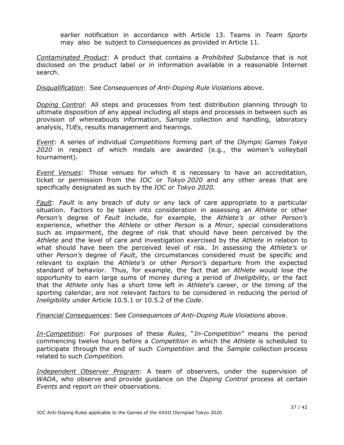earlier notification in accordance with Article 13. Teams in *Team Sports* may also be subject to *Consequences* as provided in Article 11.

*Contaminated Product*: A product that contains a *Prohibited Substance* that is not disclosed on the product label or in information available in a reasonable Internet search.

#### *Disqualification*: See *Consequences of Anti-Doping Rule Violations* above.

*Doping Control*: All steps and processes from test distribution planning through to ultimate disposition of any appeal including all steps and processes in between such as provision of whereabouts information, *Sample* collection and handling, laboratory analysis, *TUEs*, results management and hearings.

*Event*: A series of individual *Competitions* forming part of the *Olympic Games Tokyo 2020* in respect of which medals are awarded (e.g., the women's volleyball tournament).

*Event Venues*: Those venues for which it is necessary to have an accreditation, ticket or permission from the *IOC* or *Tokyo 2020* and any other areas that are specifically designated as such by the *IOC or Tokyo 2020.*

*Fault*: *Fault* is any breach of duty or any lack of care appropriate to a particular situation. Factors to be taken into consideration in assessing an *Athlete* or other *Person's* degree of *Fault* include, for example, the *Athlete's* or other *Person's* experience, whether the *Athlete* or other *Person* is a *Minor*, special considerations such as impairment, the degree of risk that should have been perceived by the *Athlete* and the level of care and investigation exercised by the *Athlete* in relation to what should have been the perceived level of risk. In assessing the *Athlete's* or other *Person's* degree of *Fault*, the circumstances considered must be specific and relevant to explain the *Athlete's* or other *Person's* departure from the expected standard of behavior. Thus, for example, the fact that an *Athlete* would lose the opportunity to earn large sums of money during a period of *Ineligibility,* or the fact that the *Athlete* only has a short time left in *Athlete*'s career, or the timing of the sporting calendar, are not relevant factors to be considered in reducing the period of *Ineligibility* under Article 10.5.1 or 10.5.2 of the *Code*.

*Financial Consequences*: See *Consequences of Anti-Doping Rule Violations* above.

*In-Competition*: For purposes of these *Rules*, "*In-Competition"* means the period commencing twelve hours before a *Competition* in which the *Athlete* is scheduled to participate through the end of such *Competition* and the *Sample* collection process related to such *Competition.*

*Independent Observer Program*: A team of observers, under the supervision of *WADA*, who observe and provide guidance on the *Doping Control* process at certain *Events* and report on their observations.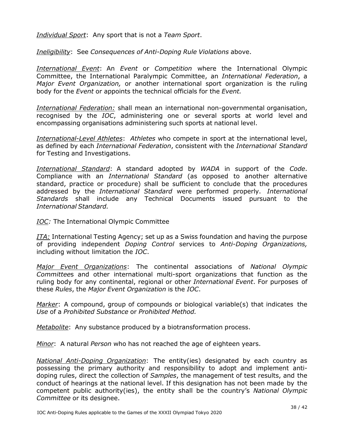*Individual Sport*: Any sport that is not a *Team Sport*.

*Ineligibility*: See *Consequences of Anti-Doping Rule Violations* above.

*International Event*: An *Event* or *Competition* where the International Olympic Committee, the International Paralympic Committee, an *International Federation*, a *Major Event Organization,* or another international sport organization is the ruling body for the *Event* or appoints the technical officials for the *Event.*

*International Federation:* shall mean an international non-governmental organisation, recognised by the *IOC*, administering one or several sports at world level and encompassing organisations administering such sports at national level.

*International-Level Athletes*: *Athletes* who compete in sport at the international level, as defined by each *International Federation*, consistent with the *International Standard* for Testing and Investigations.

*International Standard*: A standard adopted by *WADA* in support of the *Code*. Compliance with an *International Standard* (as opposed to another alternative standard, practice or procedure) shall be sufficient to conclude that the procedures addressed by the *International Standard* were performed properly. *International Standards* shall include any Technical Documents issued pursuant to the *International Standard.*

*IOC:* The International Olympic Committee

*ITA:* International Testing Agency; set up as a Swiss foundation and having the purpose of providing independent *Doping Control* services to *Anti-Doping Organizations,*  including without limitation the *IOC*.

*Major Event Organizations*: The continental associations of *National Olympic Committee*s and other international multi-sport organizations that function as the ruling body for any continental, regional or other *International Event*. For purposes of these *Rules*, the *Major Event Organization* is the *IOC*.

*Marker*: A compound, group of compounds or biological variable(s) that indicates the *Use* of a *Prohibited Substance* or *Prohibited Method.*

*Metabolite*: Any substance produced by a biotransformation process.

*Minor*: A natural *Person* who has not reached the age of eighteen years.

*National Anti-Doping Organization*: The entity(ies) designated by each country as possessing the primary authority and responsibility to adopt and implement antidoping rules, direct the collection of *Samples*, the management of test results, and the conduct of hearings at the national level. If this designation has not been made by the competent public authority(ies), the entity shall be the country's *National Olympic Committee* or its designee.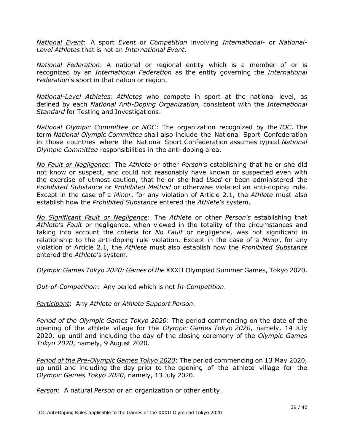*National Event*: A sport *Event* or *Competition* involving *International*- or *National-Level Athletes* that is not an *International Event*.

*National Federation*: A national or regional entity which is a member of or is recognized by an *International Federation* as the entity governing the *International Federation*'s sport in that nation or region.

*National-Level Athletes*: *Athletes* who compete in sport at the national level, as defined by each *National Anti-Doping Organization,* consistent with the *International Standard* for Testing and Investigations.

*National Olympic Committee or NOC*: The organization recognized by the *IOC*. The term *National Olympic Committee* shall also include the National Sport Confederation in those countries where the National Sport Confederation assumes typical *National Olympic Committee* responsibilities in the anti-doping area.

*No Fault or Negligence*: The *Athlete* or other *Person's* establishing that he or she did not know or suspect, and could not reasonably have known or suspected even with the exercise of utmost caution, that he or she had *Used* or been administered the *Prohibited Substance* or *Prohibited Method* or otherwise violated an anti-doping rule. Except in the case of a *Minor*, for any violation of Article 2.1, the *Athlete* must also establish how the *Prohibited Substance* entered the *Athlete*'s system.

*No Significant Fault or Negligence*: The *Athlete* or other *Person's* establishing that *Athlete*'s *Fault* or negligence, when viewed in the totality of the circumstances and taking into account the criteria for *No Fault* or negligence, was not significant in relationship to the anti-doping rule violation. Except in the case of a *Minor*, for any violation of Article 2.1, the *Athlete* must also establish how the *Prohibited Substance* entered the *Athlete*'s system.

*Olympic Games Tokyo 2020: Games of the* XXXII Olympiad Summer Games, Tokyo 2020.

*Out-of-Competition*: Any period which is not *In-Competition*.

*Participant*: Any *Athlete* or *Athlete Support Person*.

*Period of the Olympic Games Tokyo 2020*: The period commencing on the date of the opening of the athlete village for the *Olympic Games Tokyo 2020*, namely, 14 July 2020, up until and including the day of the closing ceremony of the *Olympic Games Tokyo 2020*, namely, 9 August 2020.

*Period of the Pre-Olympic Games Tokyo 2020*: The period commencing on 13 May 2020, up until and including the day prior to the opening of the athlete village for the *Olympic Games Tokyo 2020*, namely, 13 July 2020.

*Person*: A natural *Person* or an organization or other entity.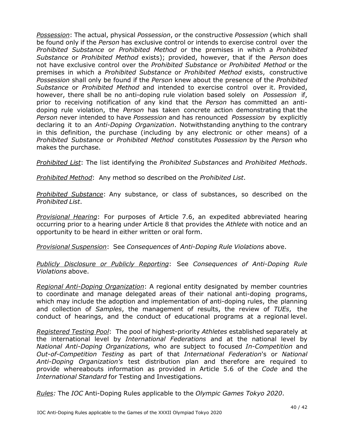*Possession*: The actual, physical *Possession*, or the constructive *Possession* (which shall be found only if the *Person* has exclusive control or intends to exercise control over the *Prohibited Substance* or *Prohibited Method* or the premises in which a *Prohibited Substance* or *Prohibited Method* exists); provided, however, that if the *Person* does not have exclusive control over the *Prohibited Substance* or *Prohibited Method* or the premises in which a *Prohibited Substance* or *Prohibited Method* exists, constructive *Possession* shall only be found if the *Person* knew about the presence of the *Prohibited Substance* or *Prohibited Method* and intended to exercise control over it. Provided, however, there shall be no anti-doping rule violation based solely on *Possession* if, prior to receiving notification of any kind that the *Person* has committed an antidoping rule violation, the *Person* has taken concrete action demonstrating that the *Person* never intended to have *Possession* and has renounced *Possession* by explicitly declaring it to an *Anti-Doping Organization*. Notwithstanding anything to the contrary in this definition, the purchase (including by any electronic or other means) of a *Prohibited Substance* or *Prohibited Method* constitutes *Possession* by the *Person* who makes the purchase.

*Prohibited List*: The list identifying the *Prohibited Substances* and *Prohibited Methods*.

*Prohibited Method*: Any method so described on the *Prohibited List*.

*Prohibited Substance*: Any substance, or class of substances, so described on the *Prohibited List*.

*Provisional Hearing*: For purposes of Article 7.6, an expedited abbreviated hearing occurring prior to a hearing under Article 8 that provides the *Athlete* with notice and an opportunity to be heard in either written or oral form.

*Provisional Suspension*: See *Consequences* of *Anti-Doping Rule Violations* above.

*Publicly Disclosure or Publicly Reporting*: See *Consequences of Anti-Doping Rule Violations* above.

*Regional Anti-Doping Organization*: A regional entity designated by member countries to coordinate and manage delegated areas of their national anti-doping programs, which may include the adoption and implementation of anti-doping rules, the planning and collection of *Samples*, the management of results, the review of *TUEs*, the conduct of hearings, and the conduct of educational programs at a regional level.

*Registered Testing Pool*: The pool of highest-priority *Athletes* established separately at the international level by *International Federations* and at the national level by *National Anti-Doping Organizations,* who are subject to focused *In-Competition* and *Out-of-Competition Testing* as part of that *International Federation*'s or *National Anti-Doping Organization's* test distribution plan and therefore are required to provide whereabouts information as provided in Article 5.6 of the *Code* and the *International Standard* for Testing and Investigations.

*Rules:* The *IOC* Anti-Doping Rules applicable to the *Olympic Games Tokyo 2020*.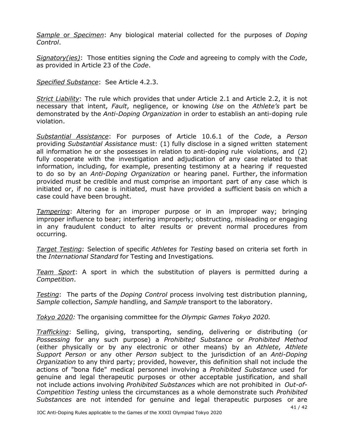*Sample* or *Specimen*: Any biological material collected for the purposes of *Doping Control*.

*Signatory(ies)*: Those entities signing the *Code* and agreeing to comply with the *Code*, as provided in Article 23 of the *Code*.

*Specified Substance*: See Article 4.2.3.

*Strict Liability*: The rule which provides that under Article 2.1 and Article 2.2, it is not necessary that intent, *Fault*, negligence, or knowing *Use* on the *Athlete's* part be demonstrated by the *Anti-Doping Organization* in order to establish an anti-doping rule violation.

*Substantial Assistance*: For purposes of Article 10.6.1 of the *Code*, a *Person* providing *Substantial Assistance* must: (1) fully disclose in a signed written statement all information he or she possesses in relation to anti-doping rule violations, and (2) fully cooperate with the investigation and adjudication of any case related to that information, including, for example, presenting testimony at a hearing if requested to do so by an *Anti-Doping Organization* or hearing panel. Further, the information provided must be credible and must comprise an important part of any case which is initiated or, if no case is initiated, must have provided a sufficient basis on which a case could have been brought.

*Tampering*: Altering for an improper purpose or in an improper way; bringing improper influence to bear; interfering improperly; obstructing, misleading or engaging in any fraudulent conduct to alter results or prevent normal procedures from occurring*.*

*Target Testing*: Selection of specific *Athletes* for *Testing* based on criteria set forth in the *International Standard* for Testing and Investigations*.*

*Team Sport*: A sport in which the substitution of players is permitted during a *Competition*.

*Testing*: The parts of the *Doping Control* process involving test distribution planning, *Sample* collection, *Sample* handling, and *Sample* transport to the laboratory.

*Tokyo 2020:* The organising committee for the *Olympic Games Tokyo 2020.*

*Trafficking*: Selling, giving, transporting, sending, delivering or distributing (or *Possessing* for any such purpose) a *Prohibited Substance* or *Prohibited Method* (either physically or by any electronic or other means) by an *Athlete*, *Athlete Support Person* or any other *Person* subject to the jurisdiction of an *Anti-Doping Organization* to any third party; provided, however, this definition shall not include the actions of "bona fide" medical personnel involving a *Prohibited Substance* used for genuine and legal therapeutic purposes or other acceptable justification, and shall not include actions involving *Prohibited Substances* which are not prohibited in *Out-of-Competition Testing* unless the circumstances as a whole demonstrate such *Prohibited Substances* are not intended for genuine and legal therapeutic purposes or are